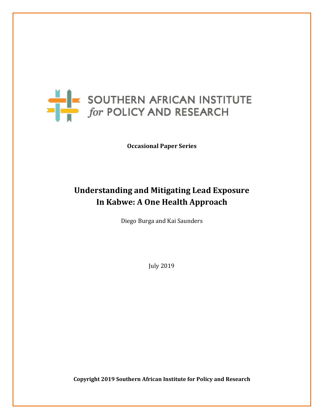

**Occasional Paper Series**

# **Understanding and Mitigating Lead Exposure In Kabwe: A One Health Approach**

Diego Burga and Kai Saunders

July 2019

**Copyright 2019 Southern African Institute for Policy and Research**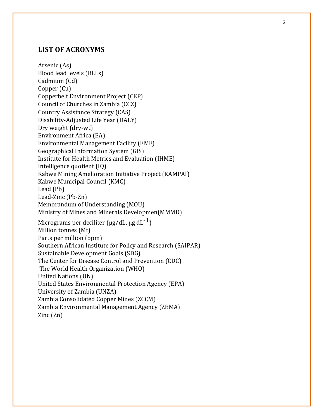### **LIST OF ACRONYMS**

Arsenic (As) Blood lead levels (BLLs) Cadmium (Cd) Copper (Cu) Copperbelt Environment Project (CEP) Council of Churches in Zambia (CCZ) Country Assistance Strategy (CAS) Disability -Adjusted Life Year (DALY) Dry weight (dry -wt) Environment Africa (EA) Environmental Management Facility (EMF) Geographical Information System (GIS) Institute for Health Metrics and Evaluation (IHME) Intelligence quotient (IQ) Kabwe Mining Amelioration Initiative Project (KAMPAI) Kabwe Municipal Council (KMC) Lead (Pb) Lead -Zinc (Pb -Zn) Memorandum of Understanding (MOU) Ministry of Mines and Minerals Developmen(MMMD) Micrograms per deciliter (μg/dL, μg dL $^{\text{-1}}$ ) Million tonnes (Mt) Parts per million (ppm) Southern African Institute for Policy and Research (SAIPAR) Sustainable Development Goals (SDG) The Center for Disease Control and Prevention (CDC) The World Health Organization (WHO) United Nations (UN) United States Environmental Protection Agency (EPA) University of Zambia (UNZA) Zambia Consolidated Copper Mines (ZCCM) Zambia Environmental Management Agency (ZEMA) Zinc (Zn)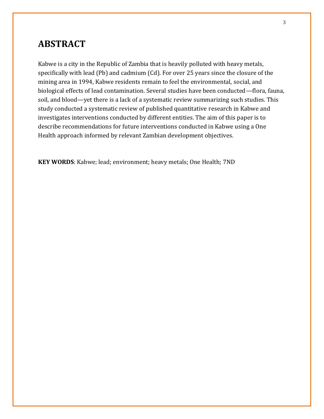### **ABSTRACT**

Kabwe is a city in the Republic of Zambia that is heavily polluted with heavy metals, specifically with lead (Pb) and cadmium (Cd). For over 25 years since the closure of the mining area in 1994, Kabwe residents remain to feel the environmental, social, and biological effects of lead contamination. Several studies have been conducted—flora, fauna, soil, and blood—yet there is a lack of a systematic review summarizing such studies. This study conducted a systematic review of published quantitative research in Kabwe and investigates interventions conducted by different entities. The aim of this paper is to describe recommendations for future interventions conducted in Kabwe using a One Health approach informed by relevant Zambian development objectives.

**KEY WORDS**: Kabwe; lead; environment; heavy metals; One Health; 7ND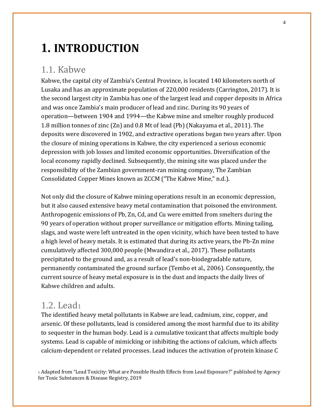# **1. INTRODUCTION**

### 1.1. Kabwe

Kabwe, the capital city of Zambia's Central Province, is located 140 kilometers north of Lusaka and has an approximate population of 220,000 residents (Carrington, 2017). It is the second largest city in Zambia has one of the largest lead and copper deposits in Africa and was once Zambia's main producer of lead and zinc. During its 90 years of operation—between 1904 and 1994—the Kabwe mine and smelter roughly produced 1.8 million tonnes of zinc (Zn) and 0.8 Mt of lead (Pb) (Nakayama et al., 2011). The deposits were discovered in 1902, and extractive operations began two years after. Upon the closure of mining operations in Kabwe, the city experienced a serious economic depression with job losses and limited economic opportunities. Diversification of the local economy rapidly declined. Subsequently, the mining site was placed under the responsibility of the Zambian government-ran mining company, The Zambian Consolidated Copper Mines known as ZCCM ("The Kabwe Mine," n.d.).

Not only did the closure of Kabwe mining operations result in an economic depression, but it also caused extensive heavy metal contamination that poisoned the environment. Anthropogenic emissions of Pb, Zn, Cd, and Cu were emitted from smelters during the 90 years of operation without proper surveillance or mitigation efforts. Mining tailing, slags, and waste were left untreated in the open vicinity, which have been tested to have a high level of heavy metals. It is estimated that during its active years, the Pb-Zn mine cumulatively affected 300,000 people (Mwandira et al., 2017). These pollutants precipitated to the ground and, as a result of lead's non-biodegradable nature, permanently contaminated the ground surface (Tembo et al., 2006). Consequently, the current source of heavy metal exposure is in the dust and impacts the daily lives of Kabwe children and adults.

### 1.2. Lead<sup>1</sup>

The identified heavy metal pollutants in Kabwe are lead, cadmium, zinc, copper, and arsenic. Of these pollutants, lead is considered among the most harmful due to its ability to sequester in the human body. Lead is a cumulative toxicant that affects multiple body systems. Lead is capable of mimicking or inhibiting the actions of calcium, which affects calcium-dependent or related processes. Lead induces the activation of protein kinase C

<sup>1</sup> Adapted from "Lead Toxicity: What are Possible Health Effects from Lead Exposure?" published by Agency for Toxic Substances & Disease Registry, 2019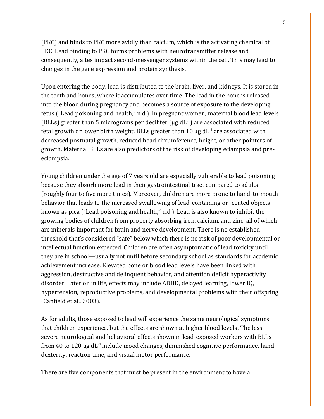(PKC) and binds to PKC more avidly than calcium, which is the activating chemical of PKC. Lead binding to PKC forms problems with neurotransmitter release and consequently, altes impact second-messenger systems within the cell. This may lead to changes in the gene expression and protein synthesis.

Upon entering the body, lead is distributed to the brain, liver, and kidneys. It is stored in the teeth and bones, where it accumulates over time. The lead in the bone is released into the blood during pregnancy and becomes a source of exposure to the developing fetus ("Lead poisoning and health," n.d.). In pregnant women, maternal blood lead levels (BLLs) greater than 5 micrograms per deciliter ( $\mu$ g dL $^{-1}$ ) are associated with reduced fetal growth or lower birth weight. BLLs greater than 10  $\mu$ g dL<sup>-1</sup> are associated with decreased postnatal growth, reduced head circumference, height, or other pointers of growth. Maternal BLLs are also predictors of the risk of developing eclampsia and preeclampsia.

Young children under the age of 7 years old are especially vulnerable to lead poisoning because they absorb more lead in their gastrointestinal tract compared to adults (roughly four to five more times). Moreover, children are more prone to hand-to-mouth behavior that leads to the increased swallowing of lead-containing or -coated objects known as pica ("Lead poisoning and health," n.d.). Lead is also known to inhibit the growing bodies of children from properly absorbing iron, calcium, and zinc, all of which are minerals important for brain and nerve development. There is no established threshold that's considered "safe" below which there is no risk of poor developmental or intellectual function expected. Children are often asymptomatic of lead toxicity until they are in school—usually not until before secondary school as standards for academic achievement increase. Elevated bone or blood lead levels have been linked with aggression, destructive and delinquent behavior, and attention deficit hyperactivity disorder. Later on in life, effects may include ADHD, delayed learning, lower IQ, hypertension, reproductive problems, and developmental problems with their offspring (Canfield et al., 2003).

As for adults, those exposed to lead will experience the same neurological symptoms that children experience, but the effects are shown at higher blood levels. The less severe neurological and behavioral effects shown in lead-exposed workers with BLLs from 40 to 120  $\mu$ g dL<sup>-1</sup> include mood changes, diminished cognitive performance, hand dexterity, reaction time, and visual motor performance.

There are five components that must be present in the environment to have a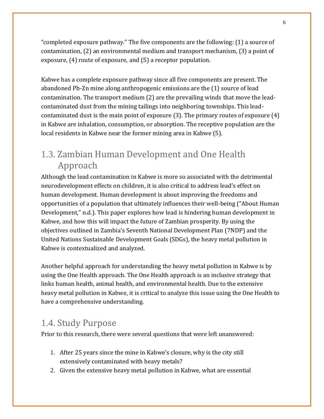"completed exposure pathway." The five components are the following: (1) a source of contamination, (2) an environmental medium and transport mechanism, (3) a point of exposure, (4) route of exposure, and (5) a receptor population.

Kabwe has a complete exposure pathway since all five components are present. The abandoned Pb-Zn mine along anthropogenic emissions are the (1) source of lead contamination. The transport medium (2) are the prevailing winds that move the leadcontaminated dust from the mining tailings into neighboring townships. This leadcontaminated dust is the main point of exposure (3). The primary routes of exposure (4) in Kabwe are inhalation, consumption, or absorption. The receptive population are the local residents in Kabwe near the former mining area in Kabwe (5).

## 1.3. Zambian Human Development and One Health Approach

Although the lead contamination in Kabwe is more so associated with the detrimental neurodevelopment effects on children, it is also critical to address lead's effect on human development. Human development is about improving the freedoms and opportunities of a population that ultimately influences their well-being ("About Human Development," n.d.). This paper explores how lead is hindering human development in Kabwe, and how this will impact the future of Zambian prosperity. By using the objectives outlined in Zambia's Seventh National Development Plan (7NDP) and the United Nations Sustainable Development Goals (SDGs), the heavy metal pollution in Kabwe is contextualized and analyzed.

Another helpful approach for understanding the heavy metal pollution in Kabwe is by using the One Health approach. The One Health approach is an inclusive strategy that links human health, animal health, and environmental health. Due to the extensive heavy metal pollution in Kabwe, it is critical to analyze this issue using the One Health to have a comprehensive understanding.

# 1.4. Study Purpose

Prior to this research, there were several questions that were left unanswered:

- 1. After 25 years since the mine in Kabwe's closure, why is the city still extensively contaminated with heavy metals?
- 2. Given the extensive heavy metal pollution in Kabwe, what are essential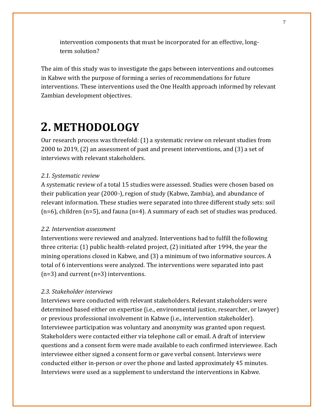intervention components that must be incorporated for an effective, longterm solution?

The aim of this study was to investigate the gaps between interventions and outcomes in Kabwe with the purpose of forming a series of recommendations for future interventions. These interventions used the One Health approach informed by relevant Zambian development objectives.

# **2. METHODOLOGY**

Our research process was threefold: (1) a systematic review on relevant studies from 2000 to 2019, (2) an assessment of past and present interventions, and (3) a set of interviews with relevant stakeholders.

### *2.1. Systematic review*

A systematic review of a total 15 studies were assessed. Studies were chosen based on their publication year (2000-), region of study (Kabwe, Zambia), and abundance of relevant information. These studies were separated into three different study sets: soil (n=6), children (n=5), and fauna (n=4). A summary of each set of studies was produced.

### *2.2. Intervention assessment*

Interventions were reviewed and analyzed. Interventions had to fulfill the following three criteria: (1) public health-related project, (2) initiated after 1994, the year the mining operations closed in Kabwe, and (3) a minimum of two informative sources. A total of 6 interventions were analyzed. The interventions were separated into past (n=3) and current (n=3) interventions.

### *2.3. Stakeholder interviews*

Interviews were conducted with relevant stakeholders. Relevant stakeholders were determined based either on expertise (i.e., environmental justice, researcher, or lawyer) or previous professional involvement in Kabwe (i.e., intervention stakeholder). Interviewee participation was voluntary and anonymity was granted upon request. Stakeholders were contacted either via telephone call or email. A draft of interview questions and a consent form were made available to each confirmed interviewee. Each interviewee either signed a consent form or gave verbal consent. Interviews were conducted either in-person or over the phone and lasted approximately 45 minutes. Interviews were used as a supplement to understand the interventions in Kabwe.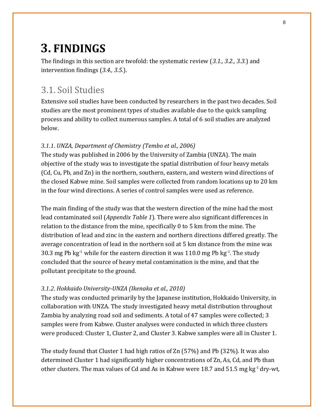# **3. FINDINGS**

The findings in this section are twofold: the systematic review (*3.1., 3.2., 3.3.*) and intervention findings (*3.4., 3.5.*).

## 3.1. Soil Studies

Extensive soil studies have been conducted by researchers in the past two decades. Soil studies are the most prominent types of studies available due to the quick sampling process and ability to collect numerous samples. A total of 6 soil studies are analyzed below.

### *3.1.1. UNZA, Department of Chemistry (Tembo et al., 2006)*

The study was published in 2006 by the University of Zambia (UNZA). The main objective of the study was to investigate the spatial distribution of four heavy metals (Cd, Cu, Pb, and Zn) in the northern, southern, eastern, and western wind directions of the closed Kabwe mine. Soil samples were collected from random locations up to 20 km in the four wind directions. A series of control samples were used as reference.

The main finding of the study was that the western direction of the mine had the most lead contaminated soil (*Appendix Table 1*). There were also significant differences in relation to the distance from the mine, specifically 0 to 5 km from the mine. The distribution of lead and zinc in the eastern and northern directions differed greatly. The average concentration of lead in the northern soil at 5 km distance from the mine was 30.3 mg Pb  $kg<sup>-1</sup>$  while for the eastern direction it was 110.0 mg Pb  $kg<sup>-1</sup>$ . The study concluded that the source of heavy metal contamination is the mine, and that the pollutant precipitate to the ground.

### *3.1.2. Hokkaido University-UNZA (Ikenaka et al., 2010)*

The study was conducted primarily by the Japanese institution, Hokkaido University, in collaboration with UNZA. The study investigated heavy metal distribution throughout Zambia by analyzing road soil and sediments. A total of 47 samples were collected; 3 samples were from Kabwe. Cluster analyses were conducted in which three clusters were produced: Cluster 1, Cluster 2, and Cluster 3. Kabwe samples were all in Cluster 1.

The study found that Cluster 1 had high ratios of Zn (57%) and Pb (32%). It was also determined Cluster 1 had significantly higher concentrations of Zn, As, Cd, and Pb than other clusters. The max values of Cd and As in Kabwe were 18.7 and 51.5 mg kg-1 dry-wt,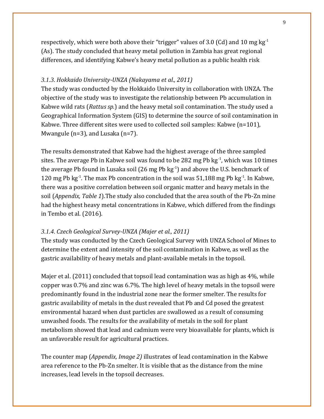respectively, which were both above their "trigger" values of 3.0 (Cd) and 10 mg kg<sup>-1</sup> (As). The study concluded that heavy metal pollution in Zambia has great regional differences, and identifying Kabwe's heavy metal pollution as a public health risk

### *3.1.3. Hokkaido University-UNZA (Nakayama et al., 2011)*

The study was conducted by the Hokkaido University in collaboration with UNZA. The objective of the study was to investigate the relationship between Pb accumulation in Kabwe wild rats (*Rattus sp.*) and the heavy metal soil contamination. The study used a Geographical Information System (GIS) to determine the source of soil contamination in Kabwe. Three different sites were used to collected soil samples: Kabwe (n=101), Mwangule ( $n=3$ ), and Lusaka ( $n=7$ ).

The results demonstrated that Kabwe had the highest average of the three sampled sites. The average Pb in Kabwe soil was found to be 282 mg Pb kg<sup>-1</sup>, which was 10 times the average Pb found in Lusaka soil (26 mg Pb  $kg<sup>-1</sup>$ ) and above the U.S. benchmark of 120 mg Pb  $kg<sup>-1</sup>$ . The max Pb concentration in the soil was 51,188 mg Pb  $kg<sup>-1</sup>$ . In Kabwe, there was a positive correlation between soil organic matter and heavy metals in the soil (*Appendix, Table 1*).The study also concluded that the area south of the Pb-Zn mine had the highest heavy metal concentrations in Kabwe, which differed from the findings in Tembo et al. (2016).

### *3.1.4. Czech Geological Survey-UNZA (Majer et al., 2011)*

The study was conducted by the Czech Geological Survey with UNZA School of Mines to determine the extent and intensity of the soil contamination in Kabwe, as well as the gastric availability of heavy metals and plant-available metals in the topsoil.

Majer et al. (2011) concluded that topsoil lead contamination was as high as 4%, while copper was 0.7% and zinc was 6.7%. The high level of heavy metals in the topsoil were predominantly found in the industrial zone near the former smelter. The results for gastric availability of metals in the dust revealed that Pb and Cd posed the greatest environmental hazard when dust particles are swallowed as a result of consuming unwashed foods. The results for the availability of metals in the soil for plant metabolism showed that lead and cadmium were very bioavailable for plants, which is an unfavorable result for agricultural practices.

The counter map (*Appendix, Image 2)* illustrates of lead contamination in the Kabwe area reference to the Pb-Zn smelter. It is visible that as the distance from the mine increases, lead levels in the topsoil decreases.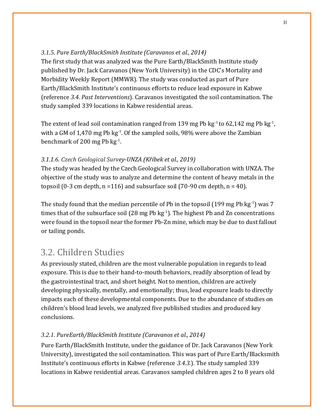### *3.1.5. Pure Earth/BlackSmith Institute (Caravanos et al., 2014)*

The first study that was analyzed was the Pure Earth/BlackSmith Institute study published by Dr. Jack Caravanos (New York University) in the CDC's Mortality and Morbidity Weekly Report (MMWR). The study was conducted as part of Pure Earth/BlackSmith Institute's continuous efforts to reduce lead exposure in Kabwe (reference *3.4. Past Interventions*). Caravanos investigated the soil contamination. The study sampled 339 locations in Kabwe residential areas.

The extent of lead soil contamination ranged from 139 mg Pb  $kg<sup>-1</sup>$  to 62,142 mg Pb  $kg<sup>-1</sup>$ , with a GM of 1,470 mg Pb  $kg<sup>-1</sup>$ . Of the sampled soils, 98% were above the Zambian benchmark of 200 mg Pb  $kg^{-1}$ .

### *3.1.1.6. Czech Geological Survey-UNZA (Kříbek et al., 2019)*

The study was headed by the Czech Geological Survey in collaboration with UNZA. The objective of the study was to analyze and determine the content of heavy metals in the topsoil (0-3 cm depth,  $n = 116$ ) and subsurface soil (70-90 cm depth,  $n = 40$ ).

The study found that the median percentile of Pb in the topsoil (199 mg Pb  $kg^{-1}$ ) was 7 times that of the subsurface soil  $(28 \text{ mg Pb kg}^{-1})$ . The highest Pb and Zn concentrations were found in the topsoil near the former Pb-Zn mine, which may be due to dust fallout or tailing ponds.

# 3.2. Children Studies

As previously stated, children are the most vulnerable population in regards to lead exposure. This is due to their hand-to-mouth behaviors, readily absorption of lead by the gastrointestinal tract, and short height. Not to mention, children are actively developing physically, mentally, and emotionally; thus, lead exposure leads to directly impacts each of these developmental components. Due to the abundance of studies on children's blood lead levels, we analyzed five published studies and produced key conclusions.

### *3.2.1. PureEarth/BlackSmith Institute (Caravanos et al., 2014)*

Pure Earth/BlackSmith Institute, under the guidance of Dr. Jack Caravanos (New York University), investigated the soil contamination. This was part of Pure Earth/Blacksmith Institute's continuous efforts in Kabwe (reference *3.4.3.*). The study sampled 339 locations in Kabwe residential areas. Caravanos sampled children ages 2 to 8 years old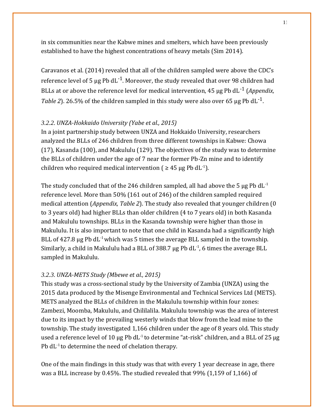in six communities near the Kabwe mines and smelters, which have been previously established to have the highest concentrations of heavy metals (Sim 2014).

Caravanos et al. (2014) revealed that all of the children sampled were above the CDC's reference level of 5  $\mu$ g Pb dL<sup>-1</sup>. Moreover, the study revealed that over 98 children had BLLs at or above the reference level for medical intervention, 45 μg Pb dL-1 (*Appendix,*  Table 2). 26.5% of the children sampled in this study were also over 65  $\mu$ g Pb dL<sup>-1</sup>.

### *3.2.2. UNZA-Hokkaido University (Yabe et al., 2015)*

In a joint partnership study between UNZA and Hokkaido University, researchers analyzed the BLLs of 246 children from three different townships in Kabwe: Chowa (17), Kasanda (100), and Makululu (129). The objectives of the study was to determine the BLLs of children under the age of 7 near the former Pb-Zn mine and to identify children who required medical intervention ( $\geq 45$  µg Pb dL<sup>-1</sup>).

The study concluded that of the 246 children sampled, all had above the 5  $\mu$ g Pb dL<sup>-1</sup> reference level. More than 50% (161 out of 246) of the children sampled required medical attention (*Appendix, Table 2*). The study also revealed that younger children (0 to 3 years old) had higher BLLs than older children (4 to 7 years old) in both Kasanda and Makululu townships. BLLs in the Kasanda township were higher than those in Makululu. It is also important to note that one child in Kasanda had a significantly high BLL of 427.8 μg Pb  $dL^{-1}$  which was 5 times the average BLL sampled in the township. Similarly, a child in Makululu had a BLL of 388.7  $\mu$ g Pb dL $^{-1}$ , 6 times the average BLL sampled in Makululu.

### *3.2.3. UNZA-METS Study (Mbewe et al., 2015)*

This study was a cross-sectional study by the University of Zambia (UNZA) using the 2015 data produced by the Misenge Environmental and Technical Services Ltd (METS). METS analyzed the BLLs of children in the Makululu township within four zones: Zambezi, Moomba, Makululu, and Chililalila. Makululu township was the area of interest due to its impact by the prevailing westerly winds that blow from the lead mine to the township. The study investigated 1,166 children under the age of 8 years old. This study used a reference level of 10  $\mu$ g Pb dL<sup>-1</sup> to determine "at-risk" children, and a BLL of 25  $\mu$ g Pb  $dL<sup>-1</sup>$  to determine the need of chelation therapy.

One of the main findings in this study was that with every 1 year decrease in age, there was a BLL increase by 0.45%. The studied revealed that 99% (1,159 of 1,166) of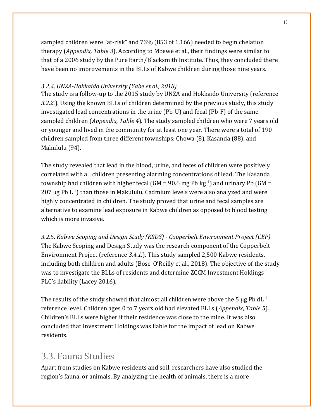sampled children were "at-risk" and 73% (853 of 1,166) needed to begin chelation therapy (*Appendix, Table 3*). According to Mbewe et al., their findings were similar to that of a 2006 study by the Pure Earth/Blacksmith Institute. Thus, they concluded there have been no improvements in the BLLs of Kabwe children during those nine years.

### *3.2.4. UNZA-Hokkaido University (Yabe et al., 2018)*

The study is a follow-up to the 2015 study by UNZA and Hokkaido University (reference *3.2.2.*). Using the known BLLs of children determined by the previous study, this study investigated lead concentrations in the urine (Pb-U) and fecal (Pb-F) of the same sampled children (*Appendix, Table 4*). The study sampled children who were 7 years old or younger and lived in the community for at least one year. There were a total of 190 children sampled from three different townships: Chowa (8), Kasanda (88), and Makululu (94).

The study revealed that lead in the blood, urine, and feces of children were positively correlated with all children presenting alarming concentrations of lead. The Kasanda township had children with higher fecal (GM =  $90.6$  mg Pb  $kg^{-1}$ ) and urinary Pb (GM = 207  $\mu$ g Pb L<sup>-1</sup>) than those in Makululu. Cadmium levels were also analyzed and were highly concentrated in children. The study proved that urine and fecal samples are alternative to examine lead exposure in Kabwe children as opposed to blood testing which is more invasive.

*3.2.5. Kabwe Scoping and Design Study (KSDS) - Copperbelt Environment Project (CEP)*  The Kabwe Scoping and Design Study was the research component of the Copperbelt Environment Project (reference *3.4.1.*). This study sampled 2,500 Kabwe residents, including both children and adults (Bose-O'Reilly et al., 2018). The objective of the study was to investigate the BLLs of residents and determine ZCCM Investment Holdings PLC's liability (Lacey 2016).

The results of the study showed that almost all children were above the 5  $\mu$ g Pb dL<sup>-1</sup> reference level. Children ages 0 to 7 years old had elevated BLLs (*Appendix, Table 5*). Children's BLLs were higher if their residence was close to the mine. It was also concluded that Investment Holdings was liable for the impact of lead on Kabwe residents.

## 3.3. Fauna Studies

Apart from studies on Kabwe residents and soil, researchers have also studied the region's fauna, or animals. By analyzing the health of animals, there is a more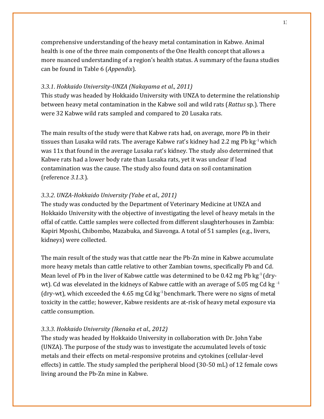comprehensive understanding of the heavy metal contamination in Kabwe. Animal health is one of the three main components of the One Health concept that allows a more nuanced understanding of a region's health status. A summary of the fauna studies can be found in Table 6 (*Appendix*).

### *3.3.1. Hokkaido University-UNZA (Nakayama et al., 2011)*

This study was headed by Hokkaido University with UNZA to determine the relationship between heavy metal contamination in the Kabwe soil and wild rats (*Rattus* sp.). There were 32 Kabwe wild rats sampled and compared to 20 Lusaka rats.

The main results of the study were that Kabwe rats had, on average, more Pb in their tissues than Lusaka wild rats. The average Kabwe rat's kidney had 2.2 mg Pb kg<sup>-1</sup> which was 11x that found in the average Lusaka rat's kidney. The study also determined that Kabwe rats had a lower body rate than Lusaka rats, yet it was unclear if lead contamination was the cause. The study also found data on soil contamination (reference *3.1.3.*).

### *3.3.2. UNZA-Hokkaido University (Yabe et al., 2011)*

The study was conducted by the Department of Veterinary Medicine at UNZA and Hokkaido University with the objective of investigating the level of heavy metals in the offal of cattle. Cattle samples were collected from different slaughterhouses in Zambia: Kapiri Mposhi, Chibombo, Mazabuka, and Siavonga. A total of 51 samples (e.g., livers, kidneys) were collected.

The main result of the study was that cattle near the Pb-Zn mine in Kabwe accumulate more heavy metals than cattle relative to other Zambian towns, specifically Pb and Cd. Mean level of Pb in the liver of Kabwe cattle was determined to be 0.42 mg Pb  $kg<sup>-1</sup>$  (drywt). Cd was elevelated in the kidneys of Kabwe cattle with an average of 5.05 mg Cd kg $^{-1}$ (dry-wt), which exceeded the 4.65 mg Cd kg $^{-1}$  benchmark. There were no signs of metal toxicity in the cattle; however, Kabwe residents are at-risk of heavy metal exposure via cattle consumption.

### *3.3.3. Hokkaido University (Ikenaka et al., 2012)*

The study was headed by Hokkaido University in collaboration with Dr. John Yabe (UNZA). The purpose of the study was to investigate the accumulated levels of toxic metals and their effects on metal-responsive proteins and cytokines (cellular-level effects) in cattle. The study sampled the peripheral blood (30-50 mL) of 12 female cows living around the Pb-Zn mine in Kabwe.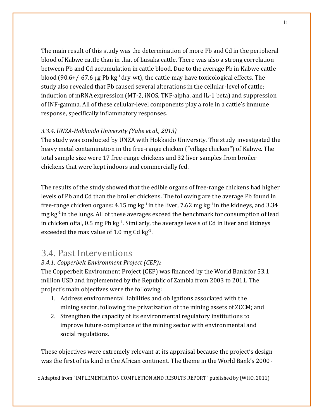The main result of this study was the determination of more Pb and Cd in the peripheral blood of Kabwe cattle than in that of Lusaka cattle. There was also a strong correlation between Pb and Cd accumulation in cattle blood. Due to the average Pb in Kabwe cattle blood (90.6+/-67.6 μg Pb kg<sup>-1</sup> dry-wt), the cattle may have toxicological effects. The study also revealed that Pb caused several alterations in the cellular-level of cattle: induction of mRNA expression (MT-2, iNOS, TNF-alpha, and IL-1 beta) and suppression of INF-gamma. All of these cellular-level components play a role in a cattle's immune response, specifically inflammatory responses.

### *3.3.4. UNZA-Hokkaido University (Yabe et al., 2013)*

The study was conducted by UNZA with Hokkaido University. The study investigated the heavy metal contamination in the free-range chicken ("village chicken") of Kabwe. The total sample size were 17 free-range chickens and 32 liver samples from broiler chickens that were kept indoors and commercially fed.

The results of the study showed that the edible organs of free-range chickens had higher levels of Pb and Cd than the broiler chickens. The following are the average Pb found in free-range chicken organs: 4.15 mg kg<sup>-1</sup> in the liver, 7.62 mg kg<sup>-1</sup> in the kidneys, and 3.34 mg kg<sup>-1</sup> in the lungs. All of these averages exceed the benchmark for consumption of lead in chicken offal,  $0.5$  mg Pb  $kg<sup>-1</sup>$ . Similarly, the average levels of Cd in liver and kidneys exceeded the max value of 1.0 mg Cd  $kg<sup>-1</sup>$ .

### 3.4. Past Interventions

### *3.4.1. Copperbelt Environment Project (CEP)<sup>2</sup>*

The Copperbelt Environment Project (CEP) was financed by the World Bank for 53.1 million USD and implemented by the Republic of Zambia from 2003 to 2011. The project's main objectives were the following:

- 1. Address environmental liabilities and obligations associated with the mining sector, following the privatization of the mining assets of ZCCM; and
- 2. Strengthen the capacity of its environmental regulatory institutions to improve future-compliance of the mining sector with environmental and social regulations.

These objectives were extremely relevant at its appraisal because the project's design was the first of its kind in the African continent. The theme in the World Bank's 2000-

<sup>2</sup> Adapted from "IMPLEMENTATION COMPLETION AND RESULTS REPORT" published by (WHO, 2011)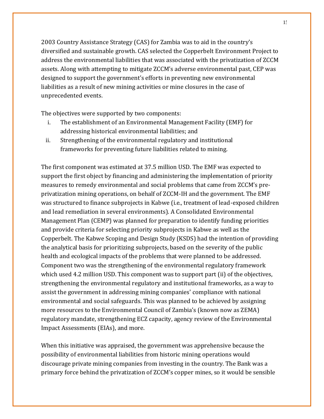2003 Country Assistance Strategy (CAS) for Zambia was to aid in the country's diversified and sustainable growth. CAS selected the Copperbelt Environment Project to address the environmental liabilities that was associated with the privatization of ZCCM assets. Along with attempting to mitigate ZCCM's adverse environmental past, CEP was designed to support the government's efforts in preventing new environmental liabilities as a result of new mining activities or mine closures in the case of unprecedented events.

The objectives were supported by two components:

- i. The establishment of an Environmental Management Facility (EMF) for addressing historical environmental liabilities; and
- ii. Strengthening of the environmental regulatory and institutional frameworks for preventing future liabilities related to mining.

The first component was estimated at 37.5 million USD. The EMF was expected to support the first object by financing and administering the implementation of priority measures to remedy environmental and social problems that came from ZCCM's preprivatization mining operations, on behalf of ZCCM-IH and the government. The EMF was structured to finance subprojects in Kabwe (i.e., treatment of lead-exposed children and lead remediation in several environments). A Consolidated Environmental Management Plan (CEMP) was planned for preparation to identify funding priorities and provide criteria for selecting priority subprojects in Kabwe as well as the Copperbelt. The Kabwe Scoping and Design Study (KSDS) had the intention of providing the analytical basis for prioritizing subprojects, based on the severity of the public health and ecological impacts of the problems that were planned to be addressed. Component two was the strengthening of the environmental regulatory framework which used 4.2 million USD. This component was to support part (ii) of the objectives, strengthening the environmental regulatory and institutional frameworks, as a way to assist the government in addressing mining companies' compliance with national environmental and social safeguards. This was planned to be achieved by assigning more resources to the Environmental Council of Zambia's (known now as ZEMA) regulatory mandate, strengthening ECZ capacity, agency review of the Environmental Impact Assessments (EIAs), and more.

When this initiative was appraised, the government was apprehensive because the possibility of environmental liabilities from historic mining operations would discourage private mining companies from investing in the country. The Bank was a primary force behind the privatization of ZCCM's copper mines, so it would be sensible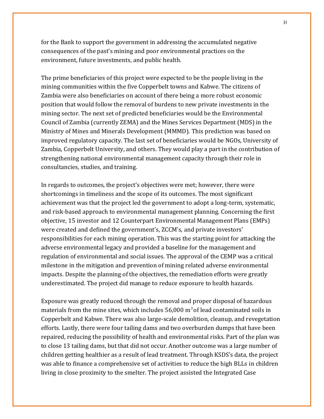for the Bank to support the government in addressing the accumulated negative consequences of the past's mining and poor environmental practices on the environment, future investments, and public health.

The prime beneficiaries of this project were expected to be the people living in the mining communities within the five Copperbelt towns and Kabwe. The citizens of Zambia were also beneficiaries on account of there being a more robust economic position that would follow the removal of burdens to new private investments in the mining sector. The next set of predicted beneficiaries would be the Environmental Council of Zambia (currently ZEMA) and the Mines Services Department (MDS) in the Ministry of Mines and Minerals Development (MMMD). This prediction was based on improved regulatory capacity. The last set of beneficiaries would be NGOs, University of Zambia, Copperbelt University, and others. They would play a part in the contribution of strengthening national environmental management capacity through their role in consultancies, studies, and training.

In regards to outcomes, the project's objectives were met; however, there were shortcomings in timeliness and the scope of its outcomes. The most significant achievement was that the project led the government to adopt a long-term, systematic, and risk-based approach to environmental management planning. Concerning the first objective, 15 investor and 12 Counterpart Environmental Management Plans (EMPs) were created and defined the government's, ZCCM's, and private investors' responsibilities for each mining operation. This was the starting point for attacking the adverse environmental legacy and provided a baseline for the management and regulation of environmental and social issues. The approval of the CEMP was a critical milestone in the mitigation and prevention of mining related adverse environmental impacts. Despite the planning of the objectives, the remediation efforts were greatly underestimated. The project did manage to reduce exposure to health hazards.

Exposure was greatly reduced through the removal and proper disposal of hazardous materials from the mine sites, which includes  $56,000 \text{ m}^3$  of lead contaminated soils in Copperbelt and Kabwe. There was also large-scale demolition, cleanup, and revegetation efforts. Lastly, there were four tailing dams and two overburden dumps that have been repaired, reducing the possibility of health and environmental risks. Part of the plan was to close 13 tailing dams, but that did not occur. Another outcome was a large number of children getting healthier as a result of lead treatment. Through KSDS's data, the project was able to finance a comprehensive set of activities to reduce the high BLLs in children living in close proximity to the smelter. The project assisted the Integrated Case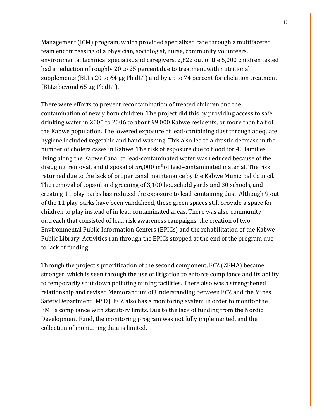Management (ICM) program, which provided specialized care through a multifaceted team encompassing of a physician, sociologist, nurse, community volunteers, environmental technical specialist and caregivers. 2,822 out of the 5,000 children tested had a reduction of roughly 20 to 25 percent due to treatment with nutritional supplements (BLLs 20 to 64  $\mu$ g Pb dL $^{-1}$ ) and by up to 74 percent for chelation treatment (BLLs beyond 65  $\mu$ g Pb dL $^{-1}$ ).

There were efforts to prevent recontamination of treated children and the contamination of newly born children. The project did this by providing access to safe drinking water in 2005 to 2006 to about 99,000 Kabwe residents, or more than half of the Kabwe population. The lowered exposure of lead-containing dust through adequate hygiene included vegetable and hand washing. This also led to a drastic decrease in the number of cholera cases in Kabwe. The risk of exposure due to flood for 40 families living along the Kabwe Canal to lead-contaminated water was reduced because of the dredging, removal, and disposal of  $56,000$  m<sup>3</sup> of lead-contaminated material. The risk returned due to the lack of proper canal maintenance by the Kabwe Municipal Council. The removal of topsoil and greening of 3,100 household yards and 30 schools, and creating 11 play parks has reduced the exposure to lead-containing dust. Although 9 out of the 11 play parks have been vandalized, these green spaces still provide a space for children to play instead of in lead contaminated areas. There was also community outreach that consisted of lead risk awareness campaigns, the creation of two Environmental Public Information Centers (EPICs) and the rehabilitation of the Kabwe Public Library. Activities ran through the EPICs stopped at the end of the program due to lack of funding.

Through the project's prioritization of the second component, ECZ (ZEMA) became stronger, which is seen through the use of litigation to enforce compliance and its ability to temporarily shut down polluting mining facilities. There also was a strengthened relationship and revised Memorandum of Understanding between ECZ and the Mines Safety Department (MSD). ECZ also has a monitoring system in order to monitor the EMP's compliance with statutory limits. Due to the lack of funding from the Nordic Development Fund, the monitoring program was not fully implemented, and the collection of monitoring data is limited.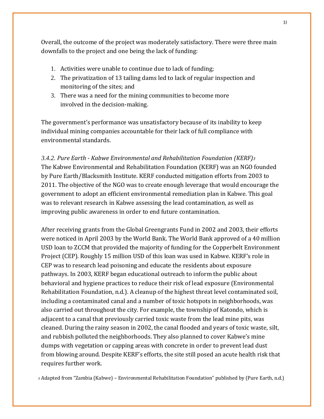Overall, the outcome of the project was moderately satisfactory. There were three main downfalls to the project and one being the lack of funding:

- 1. Activities were unable to continue due to lack of funding;
- 2. The privatization of 13 tailing dams led to lack of regular inspection and monitoring of the sites; and
- 3. There was a need for the mining communities to become more involved in the decision-making.

The government's performance was unsatisfactory because of its inability to keep individual mining companies accountable for their lack of full compliance with environmental standards.

*3.4.2. Pure Earth - Kabwe Environmental and Rehabilitation Foundation (KERF)<sup>3</sup>* The Kabwe Environmental and Rehabilitation Foundation (KERF) was an NGO founded by Pure Earth/Blacksmith Institute. KERF conducted mitigation efforts from 2003 to 2011. The objective of the NGO was to create enough leverage that would encourage the government to adopt an efficient environmental remediation plan in Kabwe. This goal was to relevant research in Kabwe assessing the lead contamination, as well as improving public awareness in order to end future contamination.

After receiving grants from the Global Greengrants Fund in 2002 and 2003, their efforts were noticed in April 2003 by the World Bank. The World Bank approved of a 40 million USD loan to ZCCM that provided the majority of funding for the Copperbelt Environment Project (CEP). Roughly 15 million USD of this loan was used in Kabwe. KERF's role in CEP was to research lead poisoning and educate the residents about exposure pathways. In 2003, KERF began educational outreach to inform the public about behavioral and hygiene practices to reduce their risk of lead exposure (Environmental Rehabilitation Foundation, n.d.). A cleanup of the highest threat level contaminated soil, including a contaminated canal and a number of toxic hotspots in neighborhoods, was also carried out throughout the city. For example, the township of Katondo, which is adjacent to a canal that previously carried toxic waste from the lead mine pits, was cleaned. During the rainy season in 2002, the canal flooded and years of toxic waste, silt, and rubbish polluted the neighborhoods. They also planned to cover Kabwe's mine dumps with vegetation or capping areas with concrete in order to prevent lead dust from blowing around. Despite KERF's efforts, the site still posed an acute health risk that requires further work.

<sup>3</sup> Adapted from "Zambia (Kabwe) – Environmental Rehabilitation Foundation" published by (Pure Earth, n.d.)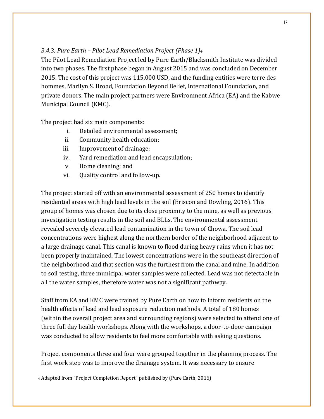### *3.4.3. Pure Earth – Pilot Lead Remediation Project (Phase 1)<sup>4</sup>*

The Pilot Lead Remediation Project led by Pure Earth/Blacksmith Institute was divided into two phases. The first phase began in August 2015 and was concluded on December 2015. The cost of this project was 115,000 USD, and the funding entities were terre des hommes, Marilyn S. Broad, Foundation Beyond Belief, International Foundation, and private donors. The main project partners were Environment Africa (EA) and the Kabwe Municipal Council (KMC).

The project had six main components:

- i. Detailed environmental assessment;
- ii. Community health education;
- iii. Improvement of drainage;
- iv. Yard remediation and lead encapsulation;
- v. Home cleaning; and
- vi. Quality control and follow-up.

The project started off with an environmental assessment of 250 homes to identify residential areas with high lead levels in the soil (Eriscon and Dowling, 2016). This group of homes was chosen due to its close proximity to the mine, as well as previous investigation testing results in the soil and BLLs. The environmental assessment revealed severely elevated lead contamination in the town of Chowa. The soil lead concentrations were highest along the northern border of the neighborhood adjacent to a large drainage canal. This canal is known to flood during heavy rains when it has not been properly maintained. The lowest concentrations were in the southeast direction of the neighborhood and that section was the furthest from the canal and mine. In addition to soil testing, three municipal water samples were collected. Lead was not detectable in all the water samples, therefore water was not a significant pathway.

Staff from EA and KMC were trained by Pure Earth on how to inform residents on the health effects of lead and lead exposure reduction methods. A total of 180 homes (within the overall project area and surrounding regions) were selected to attend one of three full day health workshops. Along with the workshops, a door-to-door campaign was conducted to allow residents to feel more comfortable with asking questions.

Project components three and four were grouped together in the planning process. The first work step was to improve the drainage system. It was necessary to ensure

<sup>4</sup> Adapted from "Project Completion Report" published by (Pure Earth, 2016)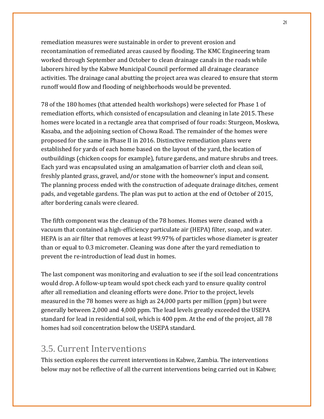remediation measures were sustainable in order to prevent erosion and recontamination of remediated areas caused by flooding. The KMC Engineering team worked through September and October to clean drainage canals in the roads while laborers hired by the Kabwe Municipal Council performed all drainage clearance activities. The drainage canal abutting the project area was cleared to ensure that storm runoff would flow and flooding of neighborhoods would be prevented.

78 of the 180 homes (that attended health workshops) were selected for Phase 1 of remediation efforts, which consisted of encapsulation and cleaning in late 2015. These homes were located in a rectangle area that comprised of four roads: Sturgeon, Moskwa, Kasaba, and the adjoining section of Chowa Road. The remainder of the homes were proposed for the same in Phase II in 2016. Distinctive remediation plans were established for yards of each home based on the layout of the yard, the location of outbuildings (chicken coops for example), future gardens, and mature shrubs and trees. Each yard was encapsulated using an amalgamation of barrier cloth and clean soil, freshly planted grass, gravel, and/or stone with the homeowner's input and consent. The planning process ended with the construction of adequate drainage ditches, cement pads, and vegetable gardens. The plan was put to action at the end of October of 2015, after bordering canals were cleared.

The fifth component was the cleanup of the 78 homes. Homes were cleaned with a vacuum that contained a high-efficiency particulate air (HEPA) filter, soap, and water. HEPA is an air filter that removes at least 99.97% of particles whose diameter is greater than or equal to 0.3 micrometer. Cleaning was done after the yard remediation to prevent the re-introduction of lead dust in homes.

The last component was monitoring and evaluation to see if the soil lead concentrations would drop. A follow-up team would spot check each yard to ensure quality control after all remediation and cleaning efforts were done. Prior to the project, levels measured in the 78 homes were as high as 24,000 parts per million (ppm) but were generally between 2,000 and 4,000 ppm. The lead levels greatly exceeded the USEPA standard for lead in residential soil, which is 400 ppm. At the end of the project, all 78 homes had soil concentration below the USEPA standard.

### 3.5. Current Interventions

This section explores the current interventions in Kabwe, Zambia. The interventions below may not be reflective of all the current interventions being carried out in Kabwe;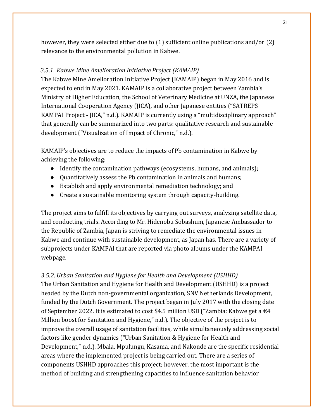however, they were selected either due to (1) sufficient online publications and/or (2) relevance to the environmental pollution in Kabwe.

### *3.5.1. Kabwe Mine Amelioration Initiative Project (KAMAIP)*

The Kabwe Mine Amelioration Initiative Project (KAMAIP) began in May 2016 and is expected to end in May 2021. KAMAIP is a collaborative project between Zambia's Ministry of Higher Education, the School of Veterinary Medicine at UNZA, the Japanese International Cooperation Agency (JICA), and other Japanese entities ("SATREPS KAMPAI Project - JICA," n.d.). KAMAIP is currently using a "multidisciplinary approach" that generally can be summarized into two parts: qualitative research and sustainable development ("Visualization of Impact of Chronic," n.d.).

KAMAIP's objectives are to reduce the impacts of Pb contamination in Kabwe by achieving the following:

- Identify the contamination pathways (ecosystems, humans, and animals);
- Quantitatively assess the Pb contamination in animals and humans;
- Establish and apply environmental remediation technology; and
- Create a sustainable monitoring system through capacity-building.

The project aims to fulfill its objectives by carrying out surveys, analyzing satellite data, and conducting trials. According to Mr. Hidenobu Sobashum, Japanese Ambassador to the Republic of Zambia, Japan is striving to remediate the environmental issues in Kabwe and continue with sustainable development, as Japan has. There are a variety of subprojects under KAMPAI that are reported via photo albums under the KAMPAI webpage.

### *3.5.2. Urban Sanitation and Hygiene for Health and Development (USHHD)*

The Urban Sanitation and Hygiene for Health and Development (USHHD) is a project headed by the Dutch non-governmental organization, SNV Netherlands Development, funded by the Dutch Government. The project began in July 2017 with the closing date of September 2022. It is estimated to cost \$4.5 million USD ("Zambia: Kabwe get a  $\epsilon$ 4 Million boost for Sanitation and Hygiene," n.d.). The objective of the project is to improve the overall usage of sanitation facilities, while simultaneously addressing social factors like gender dynamics ("Urban Sanitation & Hygiene for Health and Development," n.d.). Mbala, Mpulungu, Kasama, and Nakonde are the specific residential areas where the implemented project is being carried out. There are a series of components USHHD approaches this project; however, the most important is the method of building and strengthening capacities to influence sanitation behavior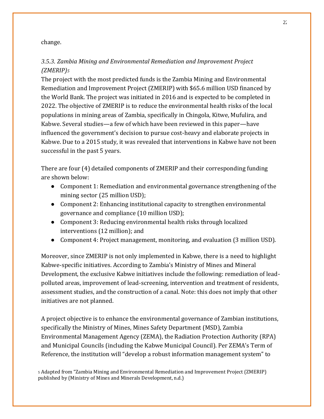### change.

### *3.5.3. Zambia Mining and Environmental Remediation and Improvement Project (ZMERIP)<sup>5</sup>*

The project with the most predicted funds is the Zambia Mining and Environmental Remediation and Improvement Project (ZMERIP) with \$65.6 million USD financed by the World Bank. The project was initiated in 2016 and is expected to be completed in 2022. The objective of ZMERIP is to reduce the environmental health risks of the local populations in mining areas of Zambia, specifically in Chingola, Kitwe, Mufulira, and Kabwe. Several studies—a few of which have been reviewed in this paper—have influenced the government's decision to pursue cost-heavy and elaborate projects in Kabwe. Due to a 2015 study, it was revealed that interventions in Kabwe have not been successful in the past 5 years.

There are four (4) detailed components of ZMERIP and their corresponding funding are shown below:

- Component 1: Remediation and environmental governance strengthening of the mining sector (25 million USD);
- Component 2: Enhancing institutional capacity to strengthen environmental governance and compliance (10 million USD);
- Component 3: Reducing environmental health risks through localized interventions (12 million); and
- Component 4: Project management, monitoring, and evaluation (3 million USD).

Moreover, since ZMERIP is not only implemented in Kabwe, there is a need to highlight Kabwe-specific initiatives. According to Zambia's Ministry of Mines and Mineral Development, the exclusive Kabwe initiatives include the following: remediation of leadpolluted areas, improvement of lead-screening, intervention and treatment of residents, assessment studies, and the construction of a canal. Note: this does not imply that other initiatives are not planned.

A project objective is to enhance the environmental governance of Zambian institutions, specifically the Ministry of Mines, Mines Safety Department (MSD), Zambia Environmental Management Agency (ZEMA), the Radiation Protection Authority (RPA) and Municipal Councils (including the Kabwe Municipal Council). Per ZEMA's Term of Reference, the institution will "develop a robust information management system" to

<sup>5</sup> Adapted from "Zambia Mining and Environmental Remediation and Improvement Project (ZMERIP) published by (Ministry of Mines and Minerals Development, n.d.)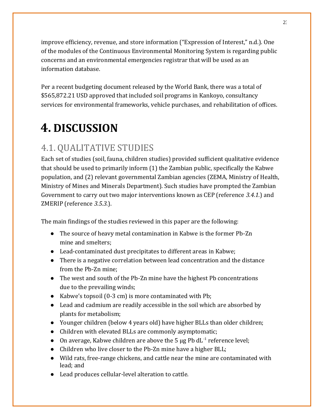improve efficiency, revenue, and store information ("Expression of Interest," n.d.). One of the modules of the Continuous Environmental Monitoring System is regarding public concerns and an environmental emergencies registrar that will be used as an information database.

Per a recent budgeting document released by the World Bank, there was a total of \$565,872.21 USD approved that included soil programs in Kankoyo, consultancy services for environmental frameworks, vehicle purchases, and rehabilitation of offices.

# **4. DISCUSSION**

# 4.1. QUALITATIVE STUDIES

Each set of studies (soil, fauna, children studies) provided sufficient qualitative evidence that should be used to primarily inform (1) the Zambian public, specifically the Kabwe population, and (2) relevant governmental Zambian agencies (ZEMA, Ministry of Health, Ministry of Mines and Minerals Department). Such studies have prompted the Zambian Government to carry out two major interventions known as CEP (reference *3.4.1.*) and ZMERIP (reference *3.5.3.*).

The main findings of the studies reviewed in this paper are the following:

- The source of heavy metal contamination in Kabwe is the former Pb-Zn mine and smelters;
- Lead-contaminated dust precipitates to different areas in Kabwe;
- There is a negative correlation between lead concentration and the distance from the Pb-Zn mine;
- The west and south of the Pb-Zn mine have the highest Pb concentrations due to the prevailing winds;
- Kabwe's topsoil (0-3 cm) is more contaminated with Pb;
- Lead and cadmium are readily accessible in the soil which are absorbed by plants for metabolism;
- Younger children (below 4 years old) have higher BLLs than older children;
- Children with elevated BLLs are commonly asymptomatic;
- On average, Kabwe children are above the 5  $\mu$ g Pb dL $^{-1}$  reference level;
- Children who live closer to the Pb-Zn mine have a higher BLL;
- Wild rats, free-range chickens, and cattle near the mine are contaminated with lead; and
- Lead produces cellular-level alteration to cattle.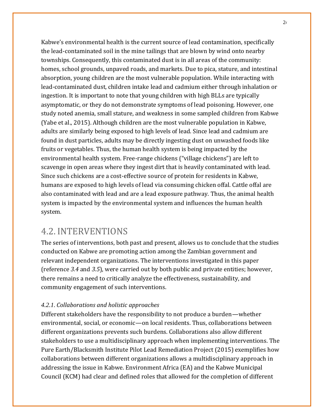Kabwe's environmental health is the current source of lead contamination, specifically the lead-contaminated soil in the mine tailings that are blown by wind onto nearby townships. Consequently, this contaminated dust is in all areas of the community: homes, school grounds, unpaved roads, and markets. Due to pica, stature, and intestinal absorption, young children are the most vulnerable population. While interacting with lead-contaminated dust, children intake lead and cadmium either through inhalation or ingestion. It is important to note that young children with high BLLs are typically asymptomatic, or they do not demonstrate symptoms of lead poisoning. However, one study noted anemia, small stature, and weakness in some sampled children from Kabwe (Yabe et al., 2015). Although children are the most vulnerable population in Kabwe, adults are similarly being exposed to high levels of lead. Since lead and cadmium are found in dust particles, adults may be directly ingesting dust on unwashed foods like fruits or vegetables. Thus, the human health system is being impacted by the environmental health system. Free-range chickens ("village chickens") are left to scavenge in open areas where they ingest dirt that is heavily contaminated with lead. Since such chickens are a cost-effective source of protein for residents in Kabwe, humans are exposed to high levels of lead via consuming chicken offal. Cattle offal are also contaminated with lead and are a lead exposure pathway. Thus, the animal health system is impacted by the environmental system and influences the human health system.

### 4.2. INTERVENTIONS

The series of interventions, both past and present, allows us to conclude that the studies conducted on Kabwe are promoting action among the Zambian government and relevant independent organizations. The interventions investigated in this paper (reference *3.4* and *3.5*), were carried out by both public and private entities; however, there remains a need to critically analyze the effectiveness, sustainability, and community engagement of such interventions.

### *4.2.1. Collaborations and holistic approaches*

Different stakeholders have the responsibility to not produce a burden—whether environmental, social, or economic—on local residents. Thus, collaborations between different organizations prevents such burdens. Collaborations also allow different stakeholders to use a multidisciplinary approach when implementing interventions. The Pure Earth/Blacksmith Institute Pilot Lead Remediation Project (2015) exemplifies how collaborations between different organizations allows a multidisciplinary approach in addressing the issue in Kabwe. Environment Africa (EA) and the Kabwe Municipal Council (KCM) had clear and defined roles that allowed for the completion of different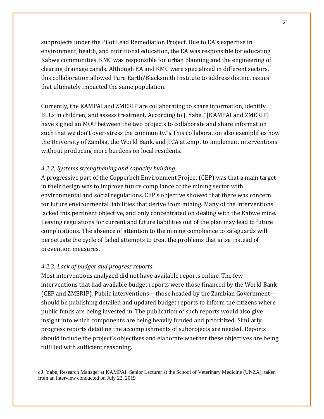subprojects under the Pilot Lead Remediation Project. Due to EA's expertise in environment, health, and nutritional education, the EA was responsible for educating Kabwe communities. KMC was responsible for urban planning and the engineering of clearing drainage canals. Although EA and KMC were specialized in different sectors, this collaboration allowed Pure Earth/Blacksmith Institute to address distinct issues that ultimately impacted the same population.

Currently, the KAMPAI and ZMERIP are collaborating to share information, identify BLLs in children, and assess treatment. According to J. Yabe, "[KAMPAI and ZMERIP] have signed an MOU between the two projects to collaborate and share information such that we don't over-stress the community."<sup>6</sup> This collaboration also exemplifies how the University of Zambia, the World Bank, and JICA attempt to implement interventions without producing more burdens on local residents.

### *4.2.2. Systems strengthening and capacity building*

A progressive part of the Copperbelt Environment Project (CEP) was that a main target in their design was to improve future compliance of the mining sector with environmental and social regulations. CEP's objective showed that there was concern for future environmental liabilities that derive from mining. Many of the interventions lacked this pertinent objective, and only concentrated on dealing with the Kabwe mine. Leaving regulations for current and future liabilities out of the plan may lead to future complications. The absence of attention to the mining compliance to safeguards will perpetuate the cycle of failed attempts to treat the problems that arise instead of prevention measures.

#### *4.2.3. Lack of budget and progress reports*

Most interventions analyzed did not have available reports online. The few interventions that had available budget reports were those financed by the World Bank (CEP and ZMERIP). Public interventions—those headed by the Zambian Government should be publishing detailed and updated budget reports to inform the citizens where public funds are being invested in. The publication of such reports would also give insight into which components are being heavily funded and prioritized. Similarly, progress reports detailing the accomplishments of subprojects are needed. Reports should include the project's objectives and elaborate whether these objectives are being fulfilled with sufficient reasoning.

<sup>6</sup> J. Yabe, Research Manager at KAMPAI, Senior Lecturer at the School of Veterinary Medicine (UNZA); taken from an interview conducted on July 22, 2019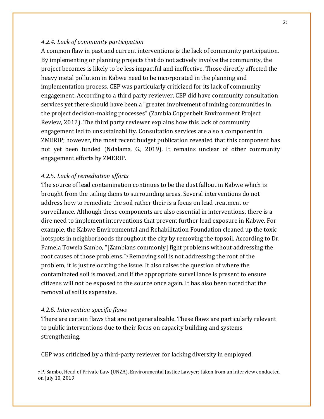### *4.2.4. Lack of community participation*

A common flaw in past and current interventions is the lack of community participation. By implementing or planning projects that do not actively involve the community, the project becomes is likely to be less impactful and ineffective. Those directly affected the heavy metal pollution in Kabwe need to be incorporated in the planning and implementation process. CEP was particularly criticized for its lack of community engagement. According to a third party reviewer, CEP did have community consultation services yet there should have been a "greater involvement of mining communities in the project decision-making processes" (Zambia Copperbelt Environment Project Review, 2012). The third party reviewer explains how this lack of community engagement led to unsustainability. Consultation services are also a component in ZMERIP; however, the most recent budget publication revealed that this component has not yet been funded (Ndalama, G., 2019). It remains unclear of other community engagement efforts by ZMERIP.

### *4.2.5. Lack of remediation efforts*

The source of lead contamination continues to be the dust fallout in Kabwe which is brought from the tailing dams to surrounding areas. Several interventions do not address how to remediate the soil rather their is a focus on lead treatment or surveillance. Although these components are also essential in interventions, there is a dire need to implement interventions that prevent further lead exposure in Kabwe. For example, the Kabwe Environmental and Rehabilitation Foundation cleaned up the toxic hotspots in neighborhoods throughout the city by removing the topsoil. According to Dr. Pamela Towela Sambo, "[Zambians commonly] fight problems without addressing the root causes of those problems."7Removing soil is not addressing the root of the problem, it is just relocating the issue. It also raises the question of where the contaminated soil is moved, and if the appropriate surveillance is present to ensure citizens will not be exposed to the source once again. It has also been noted that the removal of soil is expensive.

### *4.2.6. Intervention-specific flaws*

There are certain flaws that are not generalizable. These flaws are particularly relevant to public interventions due to their focus on capacity building and systems strengthening.

CEP was criticized by a third-party reviewer for lacking diversity in employed

<sup>7</sup> P. Sambo, Head of Private Law (UNZA), Environmental Justice Lawyer; taken from an interview conducted on July 10, 2019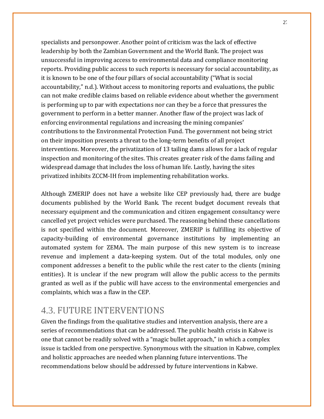specialists and personpower. Another point of criticism was the lack of effective leadership by both the Zambian Government and the World Bank. The project was unsuccessful in improving access to environmental data and compliance monitoring reports. Providing public access to such reports is necessary for social accountability, as it is known to be one of the four pillars of social accountability ("What is social accountability," n.d.). Without access to monitoring reports and evaluations, the public can not make credible claims based on reliable evidence about whether the government is performing up to par with expectations nor can they be a force that pressures the government to perform in a better manner. Another flaw of the project was lack of enforcing environmental regulations and increasing the mining companies' contributions to the Environmental Protection Fund. The government not being strict on their imposition presents a threat to the long-term benefits of all project interventions. Moreover, the privatization of 13 tailing dams allows for a lack of regular inspection and monitoring of the sites. This creates greater risk of the dams failing and widespread damage that includes the loss of human life. Lastly, having the sites privatized inhibits ZCCM-IH from implementing rehabilitation works.

Although ZMERIP does not have a website like CEP previously had, there are budge documents published by the World Bank. The recent budget document reveals that necessary equipment and the communication and citizen engagement consultancy were cancelled yet project vehicles were purchased. The reasoning behind these cancellations is not specified within the document. Moreover, ZMERIP is fulfilling its objective of capacity-building of environmental governance institutions by implementing an automated system for ZEMA. The main purpose of this new system is to increase revenue and implement a data-keeping system. Out of the total modules, only one component addresses a benefit to the public while the rest cater to the clients (mining entities). It is unclear if the new program will allow the public access to the permits granted as well as if the public will have access to the environmental emergencies and complaints, which was a flaw in the CEP.

### 4.3. FUTURE INTERVENTIONS

Given the findings from the qualitative studies and intervention analysis, there are a series of recommendations that can be addressed. The public health crisis in Kabwe is one that cannot be readily solved with a "magic bullet approach," in which a complex issue is tackled from one perspective. Synonymous with the situation in Kabwe, complex and holistic approaches are needed when planning future interventions. The recommendations below should be addressed by future interventions in Kabwe.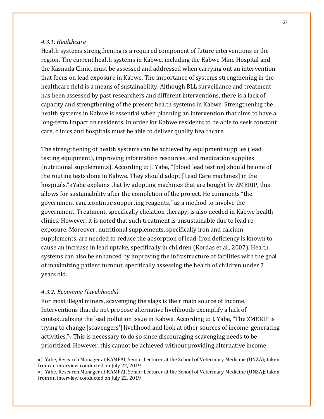### *4.3.1. Healthcare*

Health systems strengthening is a required component of future interventions in the region. The current health systems in Kabwe, including the Kabwe Mine Hospital and the Kasnada Clinic, must be assessed and addressed when carrying out an intervention that focus on lead exposure in Kabwe. The importance of systems strengthening in the healthcare field is a means of sustainability. Although BLL surveillance and treatment has been assessed by past researchers and different interventions, there is a lack of capacity and strengthening of the present health systems in Kabwe. Strengthening the health systems in Kabwe is essential when planning an intervention that aims to have a long-term impact on residents. In order for Kabwe residents to be able to seek constant care, clinics and hospitals must be able to deliver quality healthcare.

The strengthening of health systems can be achieved by equipment supplies (lead testing equipment), improving information resources, and medication supplies (nutritional supplements). According to J. Yabe, "[blood lead testing] should be one of the routine tests done in Kabwe. They should adopt [Lead Care machines] in the hospitals."8Yabe explains that by adopting machines that are bought by ZMERIP, this allows for sustainability after the completion of the project. He comments "the government can...continue supporting reagents," as a method to involve the government. Treatment, specifically chelation therapy, is also needed in Kabwe health clinics. However, it is noted that such treatment is unsustainable due to lead reexposure. Moreover, nutritional supplements, specifically iron and calcium supplements, are needed to reduce the absorption of lead. Iron deficiency is known to cause an increase in lead uptake, specifically in children (Kordas et al., 2007). Health systems can also be enhanced by improving the infrastructure of facilities with the goal of maximizing patient turnout, specifically assessing the health of children under 7 years old.

#### *4.3.2. Economic (Livelihoods)*

For most illegal miners, scavenging the slags is their main source of income. Interventions that do not propose alternative livelihoods exemplify a lack of contextualizing the lead pollution issue in Kabwe. According to J. Yabe, "The ZMERIP is trying to change [scavengers'] livelihood and look at other sources of income-generating activities."<sup>9</sup> This is necessary to do so since discouraging scavenging needs to be prioritized. However, this cannot be achieved without providing alternative income

<sup>8</sup> J. Yabe, Research Manager at KAMPAI, Senior Lecturer at the School of Veterinary Medicine (UNZA); taken from an interview conducted on July 22, 2019

<sup>9</sup> J. Yabe, Research Manager at KAMPAI, Senior Lecturer at the School of Veterinary Medicine (UNZA); taken from an interview conducted on July 22, 2019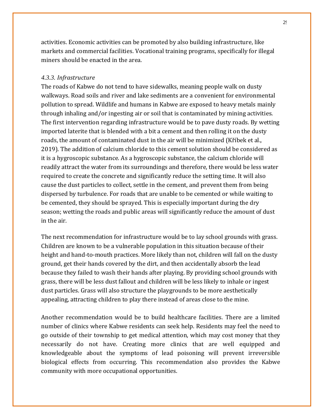activities. Economic activities can be promoted by also building infrastructure, like markets and commercial facilities. Vocational training programs, specifically for illegal miners should be enacted in the area.

### *4.3.3. Infrastructure*

The roads of Kabwe do not tend to have sidewalks, meaning people walk on dusty walkways. Road soils and river and lake sediments are a convenient for environmental pollution to spread. Wildlife and humans in Kabwe are exposed to heavy metals mainly through inhaling and/or ingesting air or soil that is contaminated by mining activities. The first intervention regarding infrastructure would be to pave dusty roads. By wetting imported laterite that is blended with a bit a cement and then rolling it on the dusty roads, the amount of contaminated dust in the air will be minimized (Kříbek et al., 2019). The addition of calcium chloride to this cement solution should be considered as it is a hygroscopic substance. As a hygroscopic substance, the calcium chloride will readily attract the water from its surroundings and therefore, there would be less water required to create the concrete and significantly reduce the setting time. It will also cause the dust particles to collect, settle in the cement, and prevent them from being dispersed by turbulence. For roads that are unable to be cemented or while waiting to be cemented, they should be sprayed. This is especially important during the dry season; wetting the roads and public areas will significantly reduce the amount of dust in the air.

The next recommendation for infrastructure would be to lay school grounds with grass. Children are known to be a vulnerable population in this situation because of their height and hand-to-mouth practices. More likely than not, children will fall on the dusty ground, get their hands covered by the dirt, and then accidentally absorb the lead because they failed to wash their hands after playing. By providing school grounds with grass, there will be less dust fallout and children will be less likely to inhale or ingest dust particles. Grass will also structure the playgrounds to be more aesthetically appealing, attracting children to play there instead of areas close to the mine.

Another recommendation would be to build healthcare facilities. There are a limited number of clinics where Kabwe residents can seek help. Residents may feel the need to go outside of their township to get medical attention, which may cost money that they necessarily do not have. Creating more clinics that are well equipped and knowledgeable about the symptoms of lead poisoning will prevent irreversible biological effects from occurring. This recommendation also provides the Kabwe community with more occupational opportunities.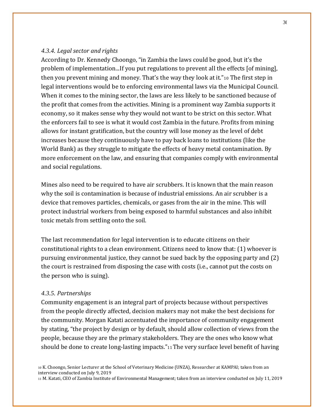### *4.3.4. Legal sector and rights*

According to Dr. Kennedy Choongo, "in Zambia the laws could be good, but it's the problem of implementation...If you put regulations to prevent all the effects [of mining], then you prevent mining and money. That's the way they look at it."<sup>10</sup> The first step in legal interventions would be to enforcing environmental laws via the Municipal Council. When it comes to the mining sector, the laws are less likely to be sanctioned because of the profit that comes from the activities. Mining is a prominent way Zambia supports it economy, so it makes sense why they would not want to be strict on this sector. What the enforcers fail to see is what it would cost Zambia in the future. Profits from mining allows for instant gratification, but the country will lose money as the level of debt increases because they continuously have to pay back loans to institutions (like the World Bank) as they struggle to mitigate the effects of heavy metal contamination. By more enforcement on the law, and ensuring that companies comply with environmental and social regulations.

Mines also need to be required to have air scrubbers. It is known that the main reason why the soil is contamination is because of industrial emissions. An air scrubber is a device that removes particles, chemicals, or gases from the air in the mine. This will protect industrial workers from being exposed to harmful substances and also inhibit toxic metals from settling onto the soil.

The last recommendation for legal intervention is to educate citizens on their constitutional rights to a clean environment. Citizens need to know that: (1) whoever is pursuing environmental justice, they cannot be sued back by the opposing party and (2) the court is restrained from disposing the case with costs (i.e., cannot put the costs on the person who is suing).

#### *4.3.5. Partnerships*

Community engagement is an integral part of projects because without perspectives from the people directly affected, decision makers may not make the best decisions for the community. Morgan Katati accentuated the importance of community engagement by stating, "the project by design or by default, should allow collection of views from the people, because they are the primary stakeholders. They are the ones who know what should be done to create long-lasting impacts."11 The very surface level benefit of having

<sup>11</sup> M. Katati, CEO of Zambia Institute of Environmental Management; taken from an interview conducted on July 11, 2019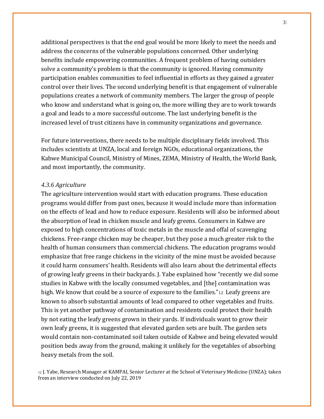additional perspectives is that the end goal would be more likely to meet the needs and address the concerns of the vulnerable populations concerned. Other underlying benefits include empowering communities. A frequent problem of having outsiders solve a community's problem is that the community is ignored. Having community participation enables communities to feel influential in efforts as they gained a greater control over their lives. The second underlying benefit is that engagement of vulnerable populations creates a network of community members. The larger the group of people who know and understand what is going on, the more willing they are to work towards a goal and leads to a more successful outcome. The last underlying benefit is the increased level of trust citizens have in community organizations and governance.

For future interventions, there needs to be multiple disciplinary fields involved. This includes scientists at UNZA, local and foreign NGOs, educational organizations, the Kabwe Municipal Council, Ministry of Mines, ZEMA, Ministry of Health, the World Bank, and most importantly, the community.

#### *4.3.6 Agriculture*

The agriculture intervention would start with education programs. These education programs would differ from past ones, because it would include more than information on the effects of lead and how to reduce exposure. Residents will also be informed about the absorption of lead in chicken muscle and leafy greens. Consumers in Kabwe are exposed to high concentrations of toxic metals in the muscle and offal of scavenging chickens. Free-range chicken may be cheaper, but they pose a much greater risk to the health of human consumers than commercial chickens. The education programs would emphasize that free range chickens in the vicinity of the mine must be avoided because it could harm consumers' health. Residents will also learn about the detrimental effects of growing leafy greens in their backyards. J. Yabe explained how "recently we did some studies in Kabwe with the locally consumed vegetables, and [the] contamination was high. We know that could be a source of exposure to the families."<sup>12</sup> Leafy greens are known to absorb substantial amounts of lead compared to other vegetables and fruits. This is yet another pathway of contamination and residents could protect their health by not eating the leafy greens grown in their yards. If individuals want to grow their own leafy greens, it is suggested that elevated garden sets are built. The garden sets would contain non-contaminated soil taken outside of Kabwe and being elevated would position beds away from the ground, making it unlikely for the vegetables of absorbing heavy metals from the soil.

<sup>12</sup> J. Yabe, Research Manager at KAMPAI, Senior Lecturer at the School of Veterinary Medicine (UNZA); taken from an interview conducted on July 22, 2019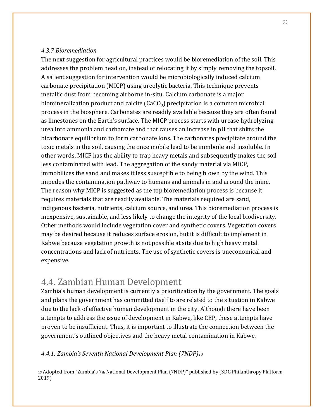### *4.3.7 Bioremediation*

The next suggestion for agricultural practices would be bioremediation of the soil. This addresses the problem head on, instead of relocating it by simply removing the topsoil. A salient suggestion for intervention would be microbiologically induced calcium carbonate precipitation (MICP) using ureolytic bacteria. This technique prevents metallic dust from becoming airborne in-situ. Calcium carbonate is a major biomineralization product and calcite (CaCO<sub>3</sub>) precipitation is a common microbial process in the biosphere. Carbonates are readily available because they are often found as limestones on the Earth's surface. The MICP process starts with urease hydrolyzing urea into ammonia and carbamate and that causes an increase in pH that shifts the bicarbonate equilibrium to form carbonate ions. The carbonates precipitate around the toxic metals in the soil, causing the once mobile lead to be immboile and insoluble. In other words, MICP has the ability to trap heavy metals and subsequently makes the soil less contaminated with lead. The aggregation of the sandy material via MICP, immobilizes the sand and makes it less susceptible to being blown by the wind. This impedes the contamination pathway to humans and animals in and around the mine. The reason why MICP is suggested as the top bioremediation process is because it requires materials that are readily available. The materials required are sand, indigenous bacteria, nutrients, calcium source, and urea. This bioremediation process is inexpensive, sustainable, and less likely to change the integrity of the local biodiversity. Other methods would include vegetation cover and synthetic covers. Vegetation covers may be desired because it reduces surface erosion, but it is difficult to implement in Kabwe because vegetation growth is not possible at site due to high heavy metal concentrations and lack of nutrients. The use of synthetic covers is uneconomical and expensive.

### 4.4. Zambian Human Development

Zambia's human development is currently a prioritization by the government. The goals and plans the government has committed itself to are related to the situation in Kabwe due to the lack of effective human development in the city. Although there have been attempts to address the issue of development in Kabwe, like CEP, these attempts have proven to be insufficient. Thus, it is important to illustrate the connection between the government's outlined objectives and the heavy metal contamination in Kabwe.

### *4.4.1. Zambia's Seventh National Development Plan (7NDP)<sup>13</sup>*

13 Adopted from "Zambia's 7th National Development Plan (7NDP)" published by (SDG Philanthropy Platform, 2019)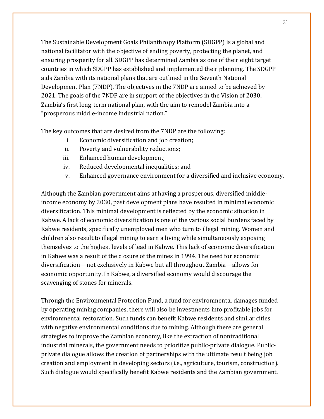The Sustainable Development Goals Philanthropy Platform (SDGPP) is a global and national facilitator with the objective of ending poverty, protecting the planet, and ensuring prosperity for all. SDGPP has determined Zambia as one of their eight target countries in which SDGPP has established and implemented their planning. The SDGPP aids Zambia with its national plans that are outlined in the Seventh National Development Plan (7NDP). The objectives in the 7NDP are aimed to be achieved by 2021. The goals of the 7NDP are in support of the objectives in the Vision of 2030, Zambia's first long-term national plan, with the aim to remodel Zambia into a "prosperous middle-income industrial nation."

The key outcomes that are desired from the 7NDP are the following:

- i. Economic diversification and job creation;
- ii. Poverty and vulnerability reductions;
- iii. Enhanced human development;
- iv. Reduced developmental inequalities; and
- v. Enhanced governance environment for a diversified and inclusive economy.

Although the Zambian government aims at having a prosperous, diversified middleincome economy by 2030, past development plans have resulted in minimal economic diversification. This minimal development is reflected by the economic situation in Kabwe. A lack of economic diversification is one of the various social burdens faced by Kabwe residents, specifically unemployed men who turn to illegal mining. Women and children also result to illegal mining to earn a living while simultaneously exposing themselves to the highest levels of lead in Kabwe. This lack of economic diversification in Kabwe was a result of the closure of the mines in 1994. The need for economic diversification—not exclusively in Kabwe but all throughout Zambia—allows for economic opportunity. In Kabwe, a diversified economy would discourage the scavenging of stones for minerals.

Through the Environmental Protection Fund, a fund for environmental damages funded by operating mining companies, there will also be investments into profitable jobs for environmental restoration. Such funds can benefit Kabwe residents and similar cities with negative environmental conditions due to mining. Although there are general strategies to improve the Zambian economy, like the extraction of nontraditional industrial minerals, the government needs to prioritize public-private dialogue. Publicprivate dialogue allows the creation of partnerships with the ultimate result being job creation and employment in developing sectors (i.e., agriculture, tourism, construction). Such dialogue would specifically benefit Kabwe residents and the Zambian government.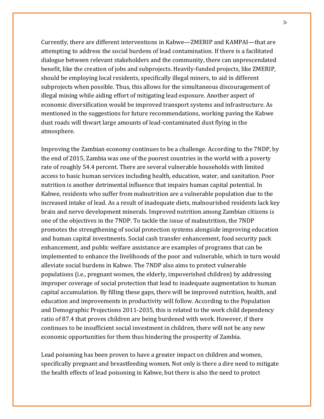Currently, there are different interventions in Kabwe—ZMERIP and KAMPAI—that are attempting to address the social burdens of lead contamination. If there is a facilitated dialogue between relevant stakeholders and the community, there can unprescendated benefit, like the creation of jobs and subprojects. Heavily-funded projects, like ZMERIP, should be employing local residents, specifically illegal miners, to aid in different subprojects when possible. Thus, this allows for the simultaneous discouragement of illegal mining while aiding effort of mitigating lead exposure. Another aspect of economic diversification would be improved transport systems and infrastructure. As mentioned in the suggestions for future recommendations, working paving the Kabwe dust roads will thwart large amounts of lead-contaminated dust flying in the atmosphere.

Improving the Zambian economy continues to be a challenge. According to the 7NDP, by the end of 2015, Zambia was one of the poorest countries in the world with a poverty rate of roughly 54.4 percent. There are several vulnerable households with limited access to basic human services including health, education, water, and sanitation. Poor nutrition is another detrimental influence that impairs human capital potential. In Kabwe, residents who suffer from malnutrition are a vulnerable population due to the increased intake of lead. As a result of inadequate diets, malnourished residents lack key brain and nerve development minerals. Improved nutrition among Zambian citizens is one of the objectives in the 7NDP. To tackle the issue of malnutrition, the 7NDP promotes the strengthening of social protection systems alongside improving education and human capital investments. Social cash transfer enhancement, food security pack enhancement, and public welfare assistance are examples of programs that can be implemented to enhance the livelihoods of the poor and vulnerable, which in turn would alleviate social burdens in Kabwe. The 7NDP also aims to protect vulnerable populations (i.e., pregnant women, the elderly, impoverished children) by addressing improper coverage of social protection that lead to inadequate augmentation to human capital accumulation. By filling these gaps, there will be improved nutrition, health, and education and improvements in productivity will follow. According to the Population and Demographic Projections 2011-2035, this is related to the work child dependency ratio of 87.4 that proves children are being burdened with work. However, if there continues to be insufficient social investment in children, there will not be any new economic opportunities for them thus hindering the prosperity of Zambia.

Lead poisoning has been proven to have a greater impact on children and women, specifically pregnant and breastfeeding women. Not only is there a dire need to mitigate the health effects of lead poisoning in Kabwe, but there is also the need to protect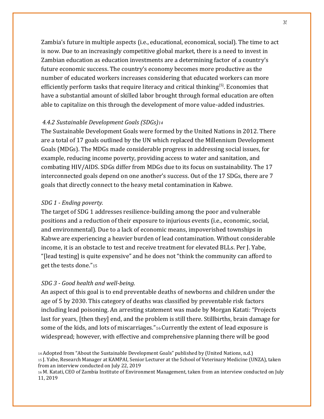Zambia's future in multiple aspects (i.e., educational, economical, social). The time to act is now. Due to an increasingly competitive global market, there is a need to invest in Zambian education as education investments are a determining factor of a country's future economic success. The country's economy becomes more productive as the number of educated workers increases considering that educated workers can more efficiently perform tasks that require literacy and critical thinking<sup>[5]</sup>. Economies that have a substantial amount of skilled labor brought through formal education are often able to capitalize on this through the development of more value-added industries.

### *4.4.2 Sustainable Development Goals (SDGs)<sup>14</sup>*

The Sustainable Development Goals were formed by the United Nations in 2012. There are a total of 17 goals outlined by the UN which replaced the Millennium Development Goals (MDGs). The MDGs made considerable progress in addressing social issues, for example, reducing income poverty, providing access to water and sanitation, and combating HIV/AIDS. SDGs differ from MDGs due to its focus on sustainability. The 17 interconnected goals depend on one another's success. Out of the 17 SDGs, there are 7 goals that directly connect to the heavy metal contamination in Kabwe.

#### *SDG 1 - Ending poverty.*

The target of SDG 1 addresses resilience-building among the poor and vulnerable positions and a reduction of their exposure to injurious events (i.e., economic, social, and environmental). Due to a lack of economic means, impoverished townships in Kabwe are experiencing a heavier burden of lead contamination. Without considerable income, it is an obstacle to test and receive treatment for elevated BLLs. Per J. Yabe, "[lead testing] is quite expensive" and he does not "think the community can afford to get the tests done."<sup>15</sup>

#### *SDG 3 - Good health and well-being.*

An aspect of this goal is to end preventable deaths of newborns and children under the age of 5 by 2030. This category of deaths was classified by preventable risk factors including lead poisoning. An arresting statement was made by Morgan Katati: "Projects last for years, [then they] end, and the problem is still there. Stillbirths, brain damage for some of the kids, and lots of miscarriages."16Currently the extent of lead exposure is widespread; however, with effective and comprehensive planning there will be good

<sup>14</sup> Adopted from "About the Sustainable Development Goals" published by (United Nations, n.d.) <sup>15</sup> J. Yabe, Research Manager at KAMPAI, Senior Lecturer at the School of Veterinary Medicine (UNZA), taken from an interview conducted on July 22, 2019

<sup>16</sup> M. Katati, CEO of Zambia Institute of Environment Management, taken from an interview conducted on July 11, 2019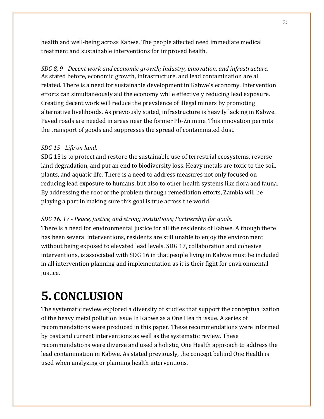health and well-being across Kabwe. The people affected need immediate medical treatment and sustainable interventions for improved health.

*SDG 8, 9 - Decent work and economic growth; Industry, innovation, and infrastructure.* As stated before, economic growth, infrastructure, and lead contamination are all related. There is a need for sustainable development in Kabwe's economy. Intervention efforts can simultaneously aid the economy while effectively reducing lead exposure. Creating decent work will reduce the prevalence of illegal miners by promoting alternative livelihoods. As previously stated, infrastructure is heavily lacking in Kabwe. Paved roads are needed in areas near the former Pb-Zn mine. This innovation permits the transport of goods and suppresses the spread of contaminated dust.

### *SDG 15 - Life on land.*

SDG 15 is to protect and restore the sustainable use of terrestrial ecosystems, reverse land degradation, and put an end to biodiversity loss. Heavy metals are toxic to the soil, plants, and aquatic life. There is a need to address measures not only focused on reducing lead exposure to humans, but also to other health systems like flora and fauna. By addressing the root of the problem through remediation efforts, Zambia will be playing a part in making sure this goal is true across the world.

### *SDG 16, 17 - Peace, justice, and strong institutions; Partnership for goals.*

There is a need for environmental justice for all the residents of Kabwe. Although there has been several interventions, residents are still unable to enjoy the environment without being exposed to elevated lead levels. SDG 17, collaboration and cohesive interventions, is associated with SDG 16 in that people living in Kabwe must be included in all intervention planning and implementation as it is their fight for environmental justice.

# **5. CONCLUSION**

The systematic review explored a diversity of studies that support the conceptualization of the heavy metal pollution issue in Kabwe as a One Health issue. A series of recommendations were produced in this paper. These recommendations were informed by past and current interventions as well as the systematic review. These recommendations were diverse and used a holistic, One Health approach to address the lead contamination in Kabwe. As stated previously, the concept behind One Health is used when analyzing or planning health interventions.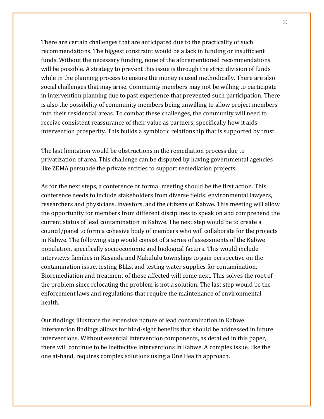There are certain challenges that are anticipated due to the practicality of such recommendations. The biggest constraint would be a lack in funding or insufficient funds. Without the necessary funding, none of the aforementioned recommendations will be possible. A strategy to prevent this issue is through the strict division of funds while in the planning process to ensure the money is used methodically. There are also social challenges that may arise. Community members may not be willing to participate in intervention planning due to past experience that prevented such participation. There is also the possibility of community members being unwilling to allow project members into their residential areas. To combat these challenges, the community will need to receive consistent reassurance of their value as partners, specifically how it aids intervention prosperity. This builds a symbiotic relationship that is supported by trust.

The last limitation would be obstructions in the remediation process due to privatization of area. This challenge can be disputed by having governmental agencies like ZEMA persuade the private entities to support remediation projects.

As for the next steps, a conference or formal meeting should be the first action. This conference needs to include stakeholders from diverse fields: environmental lawyers, researchers and physicians, investors, and the citizens of Kabwe. This meeting will allow the opportunity for members from different disciplines to speak on and comprehend the current status of lead contamination in Kabwe. The next step would be to create a council/panel to form a cohesive body of members who will collaborate for the projects in Kabwe. The following step would consist of a series of assessments of the Kabwe population, specifically socioeconomic and biological factors. This would include interviews families in Kasanda and Makululu townships to gain perspective on the contamination issue, testing BLLs, and testing water supplies for contamination. Bioremediation and treatment of those affected will come next. This solves the root of the problem since relocating the problem is not a solution. The last step would be the enforcement laws and regulations that require the maintenance of environmental health.

Our findings illustrate the extensive nature of lead contamination in Kabwe. Intervention findings allows for hind-sight benefits that should be addressed in future interventions. Without essential intervention components, as detailed in this paper, there will continue to be ineffective interventions in Kabwe. A complex issue, like the one at-hand, requires complex solutions using a One Health approach.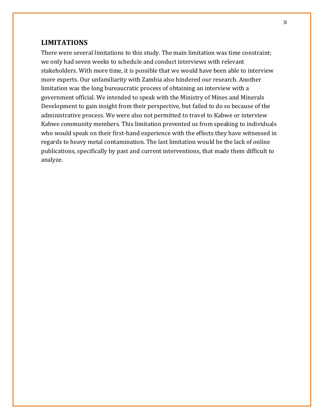### **LIMITATIONS**

There were several limitations to this study. The main limitation was time constraint; we only had seven weeks to schedule and conduct interviews with relevant stakeholders. With more time, it is possible that we would have been able to interview more experts. Our unfamiliarity with Zambia also hindered our research. Another limitation was the long bureaucratic process of obtaining an interview with a government official. We intended to speak with the Ministry of Mines and Minerals Development to gain insight from their perspective, but failed to do so because of the administrative process. We were also not permitted to travel to Kabwe or interview Kabwe community members. This limitation prevented us from speaking to individuals who would speak on their first-hand experience with the effects they have witnessed in regards to heavy metal contamination. The last limitation would be the lack of online publications, specifically by past and current interventions, that made them difficult to analyze.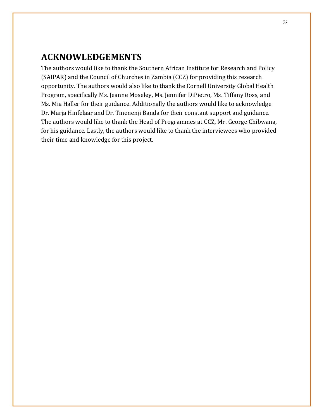## **ACKNOWLEDGEMENTS**

The authors would like to thank the Southern African Institute for Research and Policy (SAIPAR) and the Council of Churches in Zambia (CCZ) for providing this research opportunity. The authors would also like to thank the Cornell University Global Health Program, specifically Ms. Jeanne Moseley, Ms. Jennifer DiPietro, Ms. Tiffany Ross, and Ms. Mia Haller for their guidance. Additionally the authors would like to acknowledge Dr. Marja Hinfelaar and Dr. Tinenenji Banda for their constant support and guidance. The authors would like to thank the Head of Programmes at CCZ, Mr. George Chibwana, for his guidance. Lastly, the authors would like to thank the interviewees who provided their time and knowledge for this project.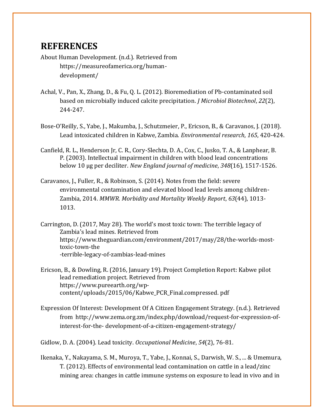# **REFERENCES**

- About Human Development. (n.d.). Retrieved from https://measureofamerica.org/humandevelopment/
- Achal, V., Pan, X., Zhang, D., & Fu, Q. L. (2012). Bioremediation of Pb-contaminated soil based on microbially induced calcite precipitation. *J Microbiol Biotechnol*, *22*(2), 244-247.
- Bose-O'Reilly, S., Yabe, J., Makumba, J., Schutzmeier, P., Ericson, B., & Caravanos, J. (2018). Lead intoxicated children in Kabwe, Zambia. *Environmental research*, *165*, 420-424.
- Canfield, R. L., Henderson Jr, C. R., Cory-Slechta, D. A., Cox, C., Jusko, T. A., & Lanphear, B. P. (2003). Intellectual impairment in children with blood lead concentrations below 10 μg per deciliter. *New England journal of medicine*, *348*(16), 1517-1526.
- Caravanos, J., Fuller, R., & Robinson, S. (2014). Notes from the field: severe environmental contamination and elevated blood lead levels among children-Zambia, 2014. *MMWR. Morbidity and Mortality Weekly Report*, *63*(44), 1013- 1013.
- Carrington, D. (2017, May 28). The world's most toxic town: The terrible legacy of Zambia's lead mines. Retrieved from [https://www.theguardian.com/environment/2017/may/28/the-worlds-most](https://www.theguardian.com/environment/2017/may/28/the-worlds-most-toxic-town-the-terrible-legacy-of-zambias-lead-mines)[toxic-town-the](https://www.theguardian.com/environment/2017/may/28/the-worlds-most-toxic-town-the-terrible-legacy-of-zambias-lead-mines) [-terrible-legacy-of-zambias-lead-mines](https://www.theguardian.com/environment/2017/may/28/the-worlds-most-toxic-town-the-terrible-legacy-of-zambias-lead-mines)
- Ericson, B., & Dowling, R. (2016, January 19). Project Completion Report: Kabwe pilot lead remediation project. Retrieved from [https://www.pureearth.org/wp](https://www.pureearth.org/wp-content/uploads/2015/06/Kabwe_PCR_Final.compressed.pdf)[content/uploads/2015/06/Kabwe\\_PCR\\_Final.compressed.](https://www.pureearth.org/wp-content/uploads/2015/06/Kabwe_PCR_Final.compressed.pdf) [pdf](https://www.pureearth.org/wp-content/uploads/2015/06/Kabwe_PCR_Final.compressed.pdf)
- Expression Of Interest: Development Of A Citizen Engagement Strategy. (n.d.). Retrieved from [http://www.zema.org.zm/index.php/download/request-for-expression-of](http://www.zema.org.zm/index.php/download/request-for-expression-of-interest-for-the-)[interest-for-the-](http://www.zema.org.zm/index.php/download/request-for-expression-of-interest-for-the-) development-of-a-citizen-engagement-strategy/

Gidlow, D. A. (2004). Lead toxicity. *Occupational Medicine*, *54*(2), 76-81.

Ikenaka, Y., Nakayama, S. M., Muroya, T., Yabe, J., Konnai, S., Darwish, W. S., ... & Umemura, T. (2012). Effects of environmental lead contamination on cattle in a lead/zinc mining area: changes in cattle immune systems on exposure to lead in vivo and in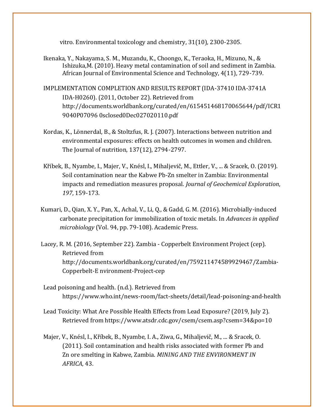vitro. Environmental toxicology and chemistry, 31(10), 2300-2305.

- Ikenaka, Y., Nakayama, S. M., Muzandu, K., Choongo, K., Teraoka, H., Mizuno, N., & Ishizuka,M. (2010). Heavy metal contamination of soil and sediment in Zambia. African Journal of Environmental Science and Technology, 4(11), 729-739.
- IMPLEMENTATION COMPLETION AND RESULTS REPORT (IDA-37410 IDA-3741A IDA-H0260). (2011, October 22). Retrieved from [http://documents.worldbank.org/curated/en/615451468170065644/pdf/ICR1](http://documents.worldbank.org/curated/en/615451468170065644/pdf/ICR19040P07096) [9040P07096](http://documents.worldbank.org/curated/en/615451468170065644/pdf/ICR19040P07096) 0sclosed0Dec027020110.pdf
- Kordas, K., Lönnerdal, B., & Stoltzfus, R. J. (2007). Interactions between nutrition and environmental exposures: effects on health outcomes in women and children. The Journal of nutrition, 137(12), 2794-2797.
- Kříbek, B., Nyambe, I., Majer, V., Knésl, I., Mihaljevič, M., Ettler, V., ... & Sracek, O. (2019). Soil contamination near the Kabwe Pb-Zn smelter in Zambia: Environmental impacts and remediation measures proposal. *Journal of Geochemical Exploration*, *197*, 159-173.
- Kumari, D., Qian, X. Y., Pan, X., Achal, V., Li, Q., & Gadd, G. M. (2016). Microbially-induced carbonate precipitation for immobilization of toxic metals. In *Advances in applied microbiology* (Vol. 94, pp. 79-108). Academic Press.
- Lacey, R. M. (2016, September 22). Zambia Copperbelt Environment Project (cep). Retrieved from [http://documents.worldbank.org/curated/en/759211474589929467/Zambia-](http://documents.worldbank.org/curated/en/759211474589929467/Zambia-Copperbelt-Environment-Project-cep)[Copperbelt-E](http://documents.worldbank.org/curated/en/759211474589929467/Zambia-Copperbelt-Environment-Project-cep) [nvironment-Project-cep](http://documents.worldbank.org/curated/en/759211474589929467/Zambia-Copperbelt-Environment-Project-cep)
- Lead poisoning and health. (n.d.). Retrieved from <https://www.who.int/news-room/fact-sheets/detail/lead-poisoning-and-health>
- Lead Toxicity: What Are Possible Health Effects from Lead Exposure? (2019, July 2). Retrieved [from https://www.atsdr.cdc.gov/csem/csem.asp?csem=34&po=10](http://www.atsdr.cdc.gov/csem/csem.asp?csem=34&po=10)
- Majer, V., Knésl, I., Kříbek, B., Nyambe, I. A., Ziwa, G., Mihaljevič, M., ... & Sracek, O. (2011). Soil contamination and health risks associated with former Pb and Zn ore smelting in Kabwe, Zambia. *MINING AND THE ENVIRONMENT IN AFRICA*, 43.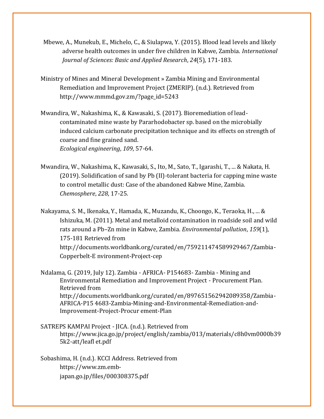- Mbewe, A., Munekub, E., Michelo, C., & Siulapwa, Y. (2015). Blood lead levels and likely adverse health outcomes in under five children in Kabwe, Zambia. *International Journal of Sciences: Basic and Applied Research*, *24*(5), 171-183.
- Ministry of Mines and Mineral Development » Zambia Mining and Environmental Remediation and Improvement Project (ZMERIP). (n.d.). Retrieved from [http://www.mmmd.gov.zm/?page\\_id=5243](http://www.mmmd.gov.zm/?page_id=5243)
- Mwandira, W., Nakashima, K., & Kawasaki, S. (2017). Bioremediation of leadcontaminated mine waste by Pararhodobacter sp. based on the microbially induced calcium carbonate precipitation technique and its effects on strength of coarse and fine grained sand. *Ecological engineering*, *109*, 57-64.
- Mwandira, W., Nakashima, K., Kawasaki, S., Ito, M., Sato, T., Igarashi, T., ... & Nakata, H. (2019). Solidification of sand by Pb (II)-tolerant bacteria for capping mine waste to control metallic dust: Case of the abandoned Kabwe Mine, Zambia. *Chemosphere*, *228*, 17-25.
- Nakayama, S. M., Ikenaka, Y., Hamada, K., Muzandu, K., Choongo, K., Teraoka, H., ... & Ishizuka, M. (2011). Metal and metalloid contamination in roadside soil and wild rats around a Pb–Zn mine in Kabwe, Zambia. *Environmental pollution*, *159*(1), 175-181 Retrieved from [http://documents.worldbank.org/curated/en/759211474589929467/Zambia-](http://documents.worldbank.org/curated/en/759211474589929467/Zambia-Copperbelt-Environment-Project-cep)[Copperbelt-E](http://documents.worldbank.org/curated/en/759211474589929467/Zambia-Copperbelt-Environment-Project-cep) [nvironment-Project-cep](http://documents.worldbank.org/curated/en/759211474589929467/Zambia-Copperbelt-Environment-Project-cep)
- Ndalama, G. (2019, July 12). Zambia AFRICA- P154683- Zambia Mining and Environmental Remediation and Improvement Project - Procurement Plan. Retrieved from [http://documents.worldbank.org/curated/en/897651562942089358/Zambia-](http://documents.worldbank.org/curated/en/897651562942089358/Zambia-AFRICA-P154683-Zambia-Mining-and-Environmental-Remediation-and-Improvement-Project-Procurement-Plan)[AFRICA-P15](http://documents.worldbank.org/curated/en/897651562942089358/Zambia-AFRICA-P154683-Zambia-Mining-and-Environmental-Remediation-and-Improvement-Project-Procurement-Plan) [4683-Zambia-Mining-and-Environmental-Remediation-and-](http://documents.worldbank.org/curated/en/897651562942089358/Zambia-AFRICA-P154683-Zambia-Mining-and-Environmental-Remediation-and-Improvement-Project-Procurement-Plan)[Improvement-Project-Procur](http://documents.worldbank.org/curated/en/897651562942089358/Zambia-AFRICA-P154683-Zambia-Mining-and-Environmental-Remediation-and-Improvement-Project-Procurement-Plan) [ement-Plan](http://documents.worldbank.org/curated/en/897651562942089358/Zambia-AFRICA-P154683-Zambia-Mining-and-Environmental-Remediation-and-Improvement-Project-Procurement-Plan)
- SATREPS KAMPAI Project JICA. (n.d.). Retrieved from [https://www.jica.go.jp/project/english/zambia/013/materials/c8h0vm0000b39](http://www.jica.go.jp/project/english/zambia/013/materials/c8h0vm0000b395k2-att/leafl) [5k2-att/leafl](http://www.jica.go.jp/project/english/zambia/013/materials/c8h0vm0000b395k2-att/leafl) et.pdf
- Sobashima, H. (n.d.). KCCI Address. Retrieved from [https://www.zm.emb](https://www.zm.emb-japan.go.jp/files/000308375.pdf)[japan.go.jp/files/000308375.pdf](https://www.zm.emb-japan.go.jp/files/000308375.pdf)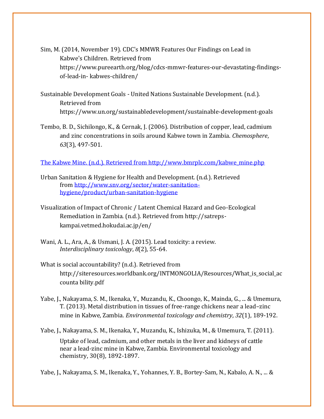- Sim, M. (2014, November 19). CDC's MMWR Features Our Findings on Lead in Kabwe's Children. Retrieved from [https://www.pureearth.org/blog/cdcs-mmwr-features-our-devastating-findings](https://www.pureearth.org/blog/cdcs-mmwr-features-our-devastating-findings-of-lead-in-kabwes-children/)[of-lead-in-](https://www.pureearth.org/blog/cdcs-mmwr-features-our-devastating-findings-of-lead-in-kabwes-children/) [kabwes-children/](https://www.pureearth.org/blog/cdcs-mmwr-features-our-devastating-findings-of-lead-in-kabwes-children/)
- Sustainable Development Goals United Nations Sustainable Development. (n.d.). Retrieved from [https://www.un.org/sustainabledevelopment/sustainable-development-goals](http://www.un.org/sustainabledevelopment/sustainable-development-goals)
- Tembo, B. D., Sichilongo, K., & Cernak, J. (2006). Distribution of copper, lead, cadmium and zinc concentrations in soils around Kabwe town in Zambia. *Chemosphere*, *63*(3), 497-501.

[The Kabwe Mine. \(n.d.\). Retrieved from http://www.bmrplc.com/kabwe\\_mine.php](The%20Kabwe%20Mine.%20(n.d.).%20Retrieved%20from%20http:/www.bmrplc.com/kabwe_mine.php)

- Urban Sanitation & Hygiene for Health and Development. (n.d.). Retrieved from [http://www.snv.org/sector/water-sanitation](http://www.snv.org/sector/water-sanitation-hygiene/product/urban-sanitation-hygiene)[hygiene/product/urban-sanitation-hygiene](http://www.snv.org/sector/water-sanitation-hygiene/product/urban-sanitation-hygiene)
- Visualization of Impact of Chronic / Latent Chemical Hazard and Geo-Ecological Remediation [in Zambia. \(n.d.\). Retrieved from http://satreps](http://satreps-kampai.vetmed.hokudai.ac.jp/en/)[kampai.vetmed.hokudai.ac.jp/en/](http://satreps-kampai.vetmed.hokudai.ac.jp/en/)
- Wani, A. L., Ara, A., & Usmani, J. A. (2015). Lead toxicity: a review. *Interdisciplinary toxicology*, *8*(2), 55-64.
- What is social accountability? (n.d.). Retrieved from [http://siteresources.worldbank.org/INTMONGOLIA/Resources/What\\_is\\_social\\_ac](http://siteresources.worldbank.org/INTMONGOLIA/Resources/What_is_social_accounta) [counta](http://siteresources.worldbank.org/INTMONGOLIA/Resources/What_is_social_accounta) bility.pdf
- Yabe, J., Nakayama, S. M., Ikenaka, Y., Muzandu, K., Choongo, K., Mainda, G., ... & Umemura, T. (2013). Metal distribution in tissues of free-range chickens near a lead–zinc mine in Kabwe, Zambia. *Environmental toxicology and chemistry*, *32*(1), 189-192.

Yabe, J., Nakayama, S. M., Ikenaka, Y., Muzandu, K., Ishizuka, M., & Umemura, T. (2011). Uptake of lead, cadmium, and other metals in the liver and kidneys of cattle near a lead-zinc mine in Kabwe, Zambia. Environmental toxicology and chemistry, 30(8), 1892-1897.

Yabe, J., Nakayama, S. M., Ikenaka, Y., Yohannes, Y. B., Bortey-Sam, N., Kabalo, A. N., ... &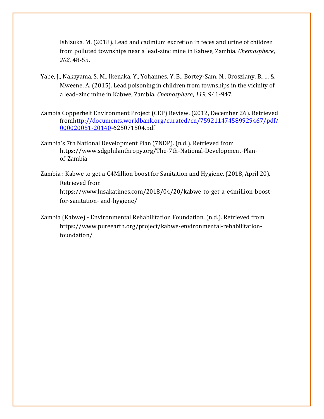Ishizuka, M. (2018). Lead and cadmium excretion in feces and urine of children from polluted townships near a lead-zinc mine in Kabwe, Zambia. *Chemosphere*, *202*, 48-55.

- Yabe, J., Nakayama, S. M., Ikenaka, Y., Yohannes, Y. B., Bortey-Sam, N., Oroszlany, B., ... & Mweene, A. (2015). Lead poisoning in children from townships in the vicinity of a lead–zinc mine in Kabwe, Zambia. *Chemosphere*, *119*, 941-947.
- Zambia Copperbelt Environment Project (CEP) Review. (2012, December 26). Retrieved fro[mhttp://documents.worldbank.org/curated/en/759211474589929467/pdf/](http://documents.worldbank.org/curated/en/759211474589929467/pdf/000020051-20140) [000020051-20140](http://documents.worldbank.org/curated/en/759211474589929467/pdf/000020051-20140)[-625071504.pdf](http://documents.worldbank.org/curated/en/759211474589929467/pdf/000020051-20140625071504.pdf)
- Zambia's 7th National Development Plan (7NDP). (n.d.). Retrieved from [https://www.sdgphilanthropy.org/The-7th-National-Development-Plan](http://www.sdgphilanthropy.org/The-7th-National-Development-Plan-of-Zambia)[of-Zambia](http://www.sdgphilanthropy.org/The-7th-National-Development-Plan-of-Zambia)
- Zambia : Kabwe to get a  $\epsilon$ 4Million boost for Sanitation and Hygiene. (2018, April 20). Retrieved from [https://www.lusakatimes.com/2018/04/20/kabwe-to-get-a-e4million-boost](https://www.lusakatimes.com/2018/04/20/kabwe-to-get-a-e4million-boost-for-sanitation-and-hygiene/)[for-sanitation-](https://www.lusakatimes.com/2018/04/20/kabwe-to-get-a-e4million-boost-for-sanitation-and-hygiene/) [and-hygiene/](https://www.lusakatimes.com/2018/04/20/kabwe-to-get-a-e4million-boost-for-sanitation-and-hygiene/)
- Zambia (Kabwe) Environmental Rehabilitation Foundation. (n.d.). Retrieved from [https://www.pureearth.org/project/kabwe-environmental-rehabilitation](https://www.pureearth.org/project/kabwe-environmental-rehabilitation-foundation/)[foundation/](https://www.pureearth.org/project/kabwe-environmental-rehabilitation-foundation/)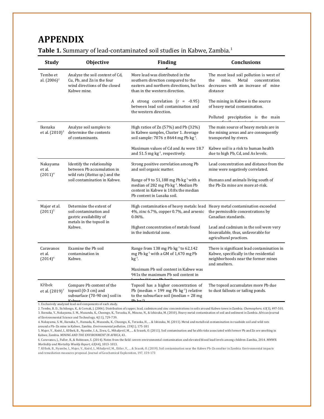### **APPENDIX**

| <b>Study</b>                          | Objective                                                                                                                 | <b>Finding</b>                                                                                                                                                               | Conclusions                                                                                                                                  |
|---------------------------------------|---------------------------------------------------------------------------------------------------------------------------|------------------------------------------------------------------------------------------------------------------------------------------------------------------------------|----------------------------------------------------------------------------------------------------------------------------------------------|
| Tembo et<br>al. $(2006)^2$            | Analyze the soil content of Cd,<br>Cu, Pb, and Zn in the four<br>wind directions of the closed<br>Kabwe mine.             | More lead was distributed in the<br>southern direction compared to the<br>eastern and northern directions, but less<br>than in the western direction.                        | The most lead soil pollution is west of<br>mine.<br>Metal<br>concentration<br>the<br>decreases with an increase of mine<br>distance          |
|                                       |                                                                                                                           | A strong correlation $(r = -0.95)$<br>between lead soil contamination and<br>the western direction.                                                                          | The mining in Kabwe is the source<br>of heavy metal contamination.                                                                           |
|                                       |                                                                                                                           |                                                                                                                                                                              | Polluted precipitation is the main                                                                                                           |
| Ikenaka<br>et al. (2010) <sup>3</sup> | Analyze soil samples to<br>determine the contents<br>of contaminants.                                                     | High ratios of $Zn(57%)$ and Pb $(32%)$<br>in Kabwe samples, Cluster 1. Average<br>soil sample: $7076 \pm 8644$ mg Pb kg <sup>-1</sup> .                                     | The main source of heavy metals are in<br>the mining areas and are consequently<br>transported by rivers.                                    |
|                                       |                                                                                                                           | Maximum values of Cd and As were 18.7<br>and 51.5 mg kg <sup>-1</sup> , respectively.                                                                                        | Kabwe soil is a risk to human health<br>due to high Pb, Cd, and As levels.                                                                   |
| Nakayama<br>et al.<br>$(2011)^4$      | Identify the relationship<br>between Pb accumulation in<br>wild rats (Rattus sp.) and the<br>soil contamination in Kabwe. | Strong positive correlation among Pb<br>and soil organic matter.                                                                                                             | Lead concentration and distance from the<br>mine were negatively correlated.                                                                 |
|                                       |                                                                                                                           | Range of 9 to 51,188 mg Pb kg <sup>-1</sup> with a<br>median of 282 mg Pb kg <sup>-1</sup> . Median Pb<br>content in Kabwe is 10.8x the median<br>Pb content in Lusaka soil. | Humans and animals living south of<br>the Pb-Zn mine are more at-risk.                                                                       |
| Majer et al.<br>$(2011)^5$            | Determine the extent of<br>soil contamination and<br>gastric availability of<br>metals in the topsoil in<br>Kabwe.        | High contamination of heavy metals: lead Heavy metal contamination exceeded<br>4%, zinc 6.7%, copper 0.7%, and arsenic<br>$0.06%$ .                                          | the permissible concentrations by<br>Canadian standards.                                                                                     |
|                                       |                                                                                                                           | Highest concentration of metals found<br>in the industrial zone.                                                                                                             | Lead and cadmium in the soil were very<br>bioavailable, thus, unfavorable for<br>agricultural practices.                                     |
| Caravanos<br>et al.<br>$(2014)^6$     | Examine the Pb soil<br>contamination in<br>Kabwe.                                                                         | Range from 138 mg Pb kg <sup>-1</sup> to 62,142<br>mg Pb kg <sup>-1</sup> with a GM of 1,470 mg Pb<br>$kg^{-1}$ .                                                            | There is significant lead contamination in<br>Kabwe, specifically in the residential<br>neighborhoods near the former mines<br>and smelters. |
|                                       |                                                                                                                           | Maximum Pb soil content in Kabwe was<br>941x the maximum Pb soil content in                                                                                                  |                                                                                                                                              |
| Kříbek<br>et al. (2019) <sup>7</sup>  | Compare Pb content of the<br>topsoil (0-3 cm) and<br>subsurface (70-90 cm) soil in<br>Kahwa                               | Topsoil has a higher concentration of<br>Pb (median = 199 mg Pb $kg^{-1}$ ) relative<br>to the subsurface soil (median = $28 \text{ mg}$<br>$Dh \, \text{Im}^{-1}$           | The topsoil accumulates more Pb due<br>to dust fallouts or tailing ponds.                                                                    |
|                                       | 1. Exclusively analyzed lead-soil components of each study.                                                               |                                                                                                                                                                              |                                                                                                                                              |

Table 1. Summary of lead-contaminated soil studies in Kabwe, Zambia.<sup>1</sup>

2. Tembo, B. D., Sichilongo, K., & Cernak, J. (2006). Distribution of copper, lead, cadmium and zinc concentrations in soils around Kabwe town in Zambia. *Chemosphere*, *63*(3), 497-501. 3. Ikenaka, Y., Nakayama, S. M., Muzandu, K., Choongo, K., Teraoka, H., Mizuno, N., & Ishizuka, M. (2010). Heavy metal contamination of soil and sediment in Zambia. African Journal of Environmental Science and Technology, 4(11), 729-739.

4. Nakayama, S. M., Ikenaka, Y., Hamada, K., Muzandu, K., Choongo, K., Teraoka, H., ... & Ishizuka, M. (2011). Metal and metalloid contamination in roadside soil and wild rats around a Pb–Zn mine in Kabwe, Zambia. *Environmental pollution*, *159*(1), 175-181

5. Majer, V., Knésl, I., Kříbek, B., Nyambe, I. A., Ziwa, G., Mihaljevič, M., ... & Sracek, O. (2011). Soil contamination and health risks associated with former Pb and Zn ore smelting in Kabwe, Zambia. *MINING AND THE ENVIRONMENT IN AFRICA*, 43.

6. Caravanos, J., Fuller, R., & Robinson, S. (2014). Notes from the field: severe environmental contamination and elevated blood lead levels among children-Zambia, 2014. *MMWR. Morbidity and Mortality Weekly Report*, *63*(44), 1013-1013.

7. Kříbek, B., Nyambe, I., Majer, V., Knésl, I., Mihaljevič, M., Ettler, V., ... & Sracek, O. (2019). Soil contamination near the Kabwe Pb-Zn smelter in Zambia: Environmental impacts and remediation measures proposal. Journal of Geochemical Exploration, 197, 159-173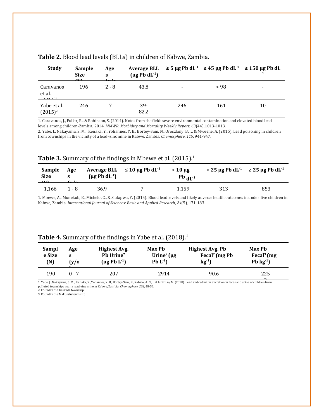| <b>Study</b>                    | Sample<br><b>Size</b><br>$\mathbf{a}$ | Age<br>S | $(\mu g Pb dL^{-1})$ |     | Average BLL $\geq$ 5 µg Pb dL <sup>-1</sup> $\geq$ 45 µg Pb dL <sup>-1</sup> $\geq$ 150 µg Pb dL <sup>-1</sup> |                          |
|---------------------------------|---------------------------------------|----------|----------------------|-----|----------------------------------------------------------------------------------------------------------------|--------------------------|
| Caravanos<br>et al.<br>(20.4.1) | 196                                   | $2 - 8$  | 43.8                 |     | > 98                                                                                                           | $\overline{\phantom{0}}$ |
| Yabe et al.<br>$(2015)^2$       | 246                                   |          | $39-$<br>82.2        | 246 | 161                                                                                                            | 10                       |

### **Table 2.** Blood lead levels (BLLs) in children of Kabwe, Zambia.

1. Caravanos, J., Fuller, R., & Robinson, S. (2014). Notes from the field: severe environmental contamination and elevated blood lead levels among children-Zambia, 2014. *MMWR. Morbidity and Mortality Weekly Report*, *63*(44),1013-1013.

2. Yabe, J., Nakayama, S. M., Ikenaka, Y., Yohannes, Y. B., Bortey-Sam, N., Oroszlany, B., ... & Mweene, A. (2015). Lead poisoning in children from townships in the vicinity of a lead–zinc mine in Kabwe, Zambia. *Chemosphere*, *119*, 941-947.

#### **Table 3.** Summary of the findings in Mbewe et al. (2015).<sup>1</sup>

| <b>Sample</b><br>Size<br>$\sqrt{N}$ | Age<br>$f - l -$ | $(\mu g \, Pb \, dL^{-1})$ | Average BLL $\leq 10 \mu$ g Pb dL <sup>-1</sup> | $>10 \text{ µg}$<br>$Pb$ <sub>dL<sup>-1</sup></sub> | $\leq$ 25 µg Pb dL <sup>-1</sup> $\geq$ 25 µg Pb dL <sup>-1</sup> |     |
|-------------------------------------|------------------|----------------------------|-------------------------------------------------|-----------------------------------------------------|-------------------------------------------------------------------|-----|
| 1.166                               | $1 - 8$          | 36.9                       |                                                 | 1.159                                               | 313                                                               | 853 |

1. Mbewe, A., Munekub, E., Michelo, C., & Siulapwa, Y. (2015). Blood lead levels and likely adverse health outcomes in under five children in Kabwe, Zambia. *International Journal of Sciences: Basic and Applied Research*, *24*(5), 171-183.

#### **Table 4.** Summary of the findings in Yabe et al. (2018).<sup>1</sup>

| Sampl<br>e Size<br>(N) | Age<br>(y/O) | Highest Avg.<br>Pb Urine <sup>2</sup><br>$(\mu g Pb L^{-1})$ | Max Ph<br>Urine <sup>2</sup> ( $\mu$ g<br>$Pb L^{-1}$ | <b>Highest Avg. Pb</b><br>Fecal <sup>2</sup> (mg Pb<br>$kg^{-1}$ | Max Pb<br>Fecal <sup>3</sup> ( $mg$<br>Pb $kg^{-1}$ |  |
|------------------------|--------------|--------------------------------------------------------------|-------------------------------------------------------|------------------------------------------------------------------|-----------------------------------------------------|--|
| 190                    | $0 - 7$      | 207                                                          | 2914                                                  | 90.6                                                             | 225<br>$\sim$                                       |  |

1. Yabe, J., Nakayama, S. M., Ikenaka, Y., Yohannes, Y. B., Bortey-Sam, N., Kabalo, A. N., ... & Ishizuka, M. (2018). Lead and cadmium excretion in feces and urine of children from 2 polluted townships near a lead-zinc mine in Kabwe, Zambia. *Chemosphere*, *202*, 48-55. 2. Found in the Kasanda township.

3. Found in the Makululu township.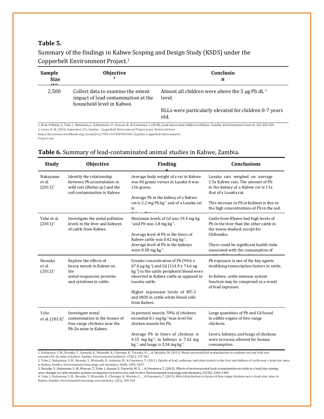### **Table 5.**

Summary of the findings in Kabwe Scoping and Design Study (KSDS) under the Copperbelt Environment Project.<sup>1</sup>

| Sample<br><b>Size</b><br>$\sqrt{2}$ | Objective                                                                                              | Conclusio<br>n                                                                                                                                                                      |
|-------------------------------------|--------------------------------------------------------------------------------------------------------|-------------------------------------------------------------------------------------------------------------------------------------------------------------------------------------|
| 2,500                               | Collect data to examine the extent<br>impact of lead contamination at the<br>household level in Kabwe. | Almost all children were above the 5 $\mu$ g Pb dL <sup>-1</sup><br>level.                                                                                                          |
|                                     |                                                                                                        | BLLs were particularly elevated for children 0-7 years<br>old.                                                                                                                      |
|                                     | 2. Lacey, R. M. (2016, September 22). Zambia - Copperbelt Environment Project (cep). Retrieved from    | 1. Bose-O'Reilly, S., Yabe, J., Makumba, J., Schutzmeier, P., Ericson, B., & Caravanos, J. (2018). Lead intoxicated children in Kabwe, Zambia. Environmental research, 165, 420-424 |

[http://documents.worldbank.org/curated/en/759211474589929467/Zambia-Copperbelt-Environment-](http://documents.worldbank.org/curated/en/759211474589929467/Zambia-Copperbelt-Environment-Project-cep)

[Project-cep](http://documents.worldbank.org/curated/en/759211474589929467/Zambia-Copperbelt-Environment-Project-cep)

### **Table 6.** Summary of lead-contaminated animal studies in Kabwe, Zambia.

| <b>Study</b>                                                                                                                                                                 | <b>Objective</b>                                                                                                          | <b>Finding</b>                                                                                                                                               | <b>Conclusions</b>                                                                                                                  |  |
|------------------------------------------------------------------------------------------------------------------------------------------------------------------------------|---------------------------------------------------------------------------------------------------------------------------|--------------------------------------------------------------------------------------------------------------------------------------------------------------|-------------------------------------------------------------------------------------------------------------------------------------|--|
| Nakayama<br>et al.<br>$(2011)^1$                                                                                                                                             | Identify the relationship<br>between Pb accumulation in<br>wild rats (Rattus sp.) and the<br>soil contamination in Kabwe. | Average body weight of a rat in Kabwe<br>was 86 grams versus in Lusaka it was<br>136 grams.                                                                  | Lusaka rats weighed on average<br>1.5x Kabwe rats. The amount of Pb<br>in the kidney of a Kabwe rat is 11x<br>that of a Lusaka rat. |  |
|                                                                                                                                                                              |                                                                                                                           | Average Pb in the kidney of a Kabwe<br>rat is 2.2 mg Pb kg <sup>-1</sup> and of a Lusaka rat<br>is                                                           | This increase in Pb in kidneys is due to<br>the high concentrations of Pb in the soil.                                              |  |
| Yabe et al.<br>$(2011)^2$                                                                                                                                                    | Investigate the metal pollution<br>levels in the liver and kidneys<br>of cattle from Kabwe.                               | Maximum levels of Cd was 19.4 mg kg<br>$1$ and Pb was 1.8 mg kg <sup>-1</sup> .                                                                              | Cattle from Kbawe had high levels of<br>Pb in the liver than the other cattle in<br>the towns studied, except for                   |  |
|                                                                                                                                                                              |                                                                                                                           | Average level of Pb in the livers of<br>Kabwe cattle was 0.42 mg $kg^{-1}$ .                                                                                 | Chibombo.                                                                                                                           |  |
|                                                                                                                                                                              |                                                                                                                           | Average level of Pb in the kidneys<br>were $0.58$ mg kg <sup>-1</sup> .                                                                                      | There could be significant health risks<br>associated with the consumption of                                                       |  |
| Ikenaka<br>et al.<br>$(2012)^3$                                                                                                                                              | Explore the effects of<br>heavy metals in Kabwe on<br>the                                                                 | Greater concentration of Pb (90.6 $\pm$<br>67.6 $\mu$ g kg <sup>-1</sup> ) and Cd (114.9 ± 74.6 ng<br>kg <sup>-1</sup> ) in the cattle peripheral blood were | Pb exposure is one of the key agents<br>modifying transcription factors in cattle.                                                  |  |
|                                                                                                                                                                              | metal-responsive proteins<br>and cytokines in cattle.                                                                     | observed in Kabwe cattle as opposed to<br>Lusaka cattle.                                                                                                     | In Kabwe, cattle immune system<br>function may be comprised as a result<br>of lead exposure.                                        |  |
|                                                                                                                                                                              |                                                                                                                           | Higher expression levels of MT-2<br>and iNOS in cattle white blood cells<br>from Kabwe.                                                                      |                                                                                                                                     |  |
| Yabe<br>et al. (2013) <sup>4</sup>                                                                                                                                           | Investigate metal<br>contamination in the tissues of<br>free-range chickens near the                                      | In pectoral muscle, 59% of chickens<br>exceeded $0.1$ mg kg <sup>-1</sup> max level for<br>chicken muscle for Pb.                                            | Large quantities of Pb and Cd found<br>in edible organs of free-range<br>chickens.                                                  |  |
|                                                                                                                                                                              | Pb-Zn mine in Kabwe.                                                                                                      | Average Pb in livers of chickens is<br>4.15 mg $kg-1$ , in kidneys is 7.62 mg<br>$kg-1$ , and lungs is 3.34 mg kg <sup>-1</sup> .                            | Livers, kidneys, and lungs of chickens<br>were in excess allowed for human<br>consumption.                                          |  |
| 1. Nakayama, S. M., Ikenaka, Y., Hamada, K., Muzandu, K., Choongo, K., Teraoka, H.,  & Ishizuka, M. (2011). Metal and metalloid contamination in roadside soil and wild rats |                                                                                                                           |                                                                                                                                                              |                                                                                                                                     |  |

around a Pb–Zn mine in Kabwe, Zambia. *Environmental pollution, 159* (1), 175-181<br>2. Yabe, J., Nakayama, S. M., Ikenaka, Y., Muzandu, K., Ishizuka, M., & Umemura, T. (2011). Uptake of lead, cadmium, and other metals in the

in Kabwe, Zambia. Environmental toxicology and chemistry, 30(8), 1892-1897.

3. Ikenaka, Y., Nakayama, S. M., Muroya, T., Yabe, J., Konnai, S., Darwish, W. S., ... & Umemura, T. (2012). Effects of environmental lead contamination on cattle in a lead/zinc mining area: changes in cattle immune systems on exposure to lead in vivo and in vitro. Environmental toxicology and chemistry, 31(10), 2300-2305.

4. Yabe, J., Nakayama, S. M., Ikenaka, Y., Muzandu, K., Choongo, K., Mainda, G., ... & Umemura, T. (2013). Metal distribution in tissues of free-range chickens near a lead–zinc mine in Kabwe, Zambia. *Environmental toxicology and chemistry*, *32*(1), 189-192